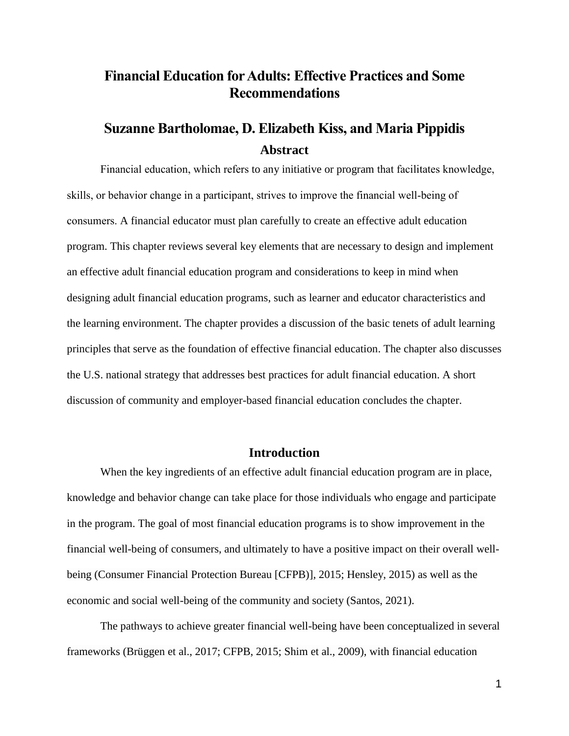# **Financial Education for Adults: Effective Practices and Some Recommendations**

# **Suzanne Bartholomae, D. Elizabeth Kiss, and Maria Pippidis Abstract**

Financial education, which refers to any initiative or program that facilitates knowledge, skills, or behavior change in a participant, strives to improve the financial well-being of consumers. A financial educator must plan carefully to create an effective adult education program. This chapter reviews several key elements that are necessary to design and implement an effective adult financial education program and considerations to keep in mind when designing adult financial education programs, such as learner and educator characteristics and the learning environment. The chapter provides a discussion of the basic tenets of adult learning principles that serve as the foundation of effective financial education. The chapter also discusses the U.S. national strategy that addresses best practices for adult financial education. A short discussion of community and employer-based financial education concludes the chapter.

### **Introduction**

When the key ingredients of an effective adult financial education program are in place, knowledge and behavior change can take place for those individuals who engage and participate in the program. The goal of most financial education programs is to show improvement in the financial well-being of consumers, and ultimately to have a positive impact on their overall wellbeing (Consumer Financial Protection Bureau [CFPB)], 2015; Hensley, 2015) as well as the economic and social well-being of the community and society (Santos, 2021).

The pathways to achieve greater financial well-being have been conceptualized in several frameworks (Brüggen et al., 2017; CFPB, 2015; Shim et al., 2009), with financial education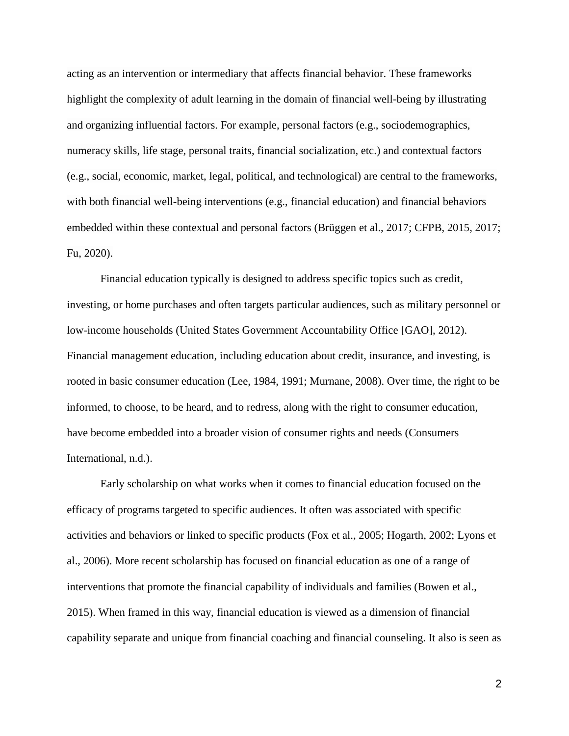acting as an intervention or intermediary that affects financial behavior. These frameworks highlight the complexity of adult learning in the domain of financial well-being by illustrating and organizing influential factors. For example, personal factors (e.g., sociodemographics, numeracy skills, life stage, personal traits, financial socialization, etc.) and contextual factors (e.g., social, economic, market, legal, political, and technological) are central to the frameworks, with both financial well-being interventions (e.g., financial education) and financial behaviors embedded within these contextual and personal factors (Brüggen et al., 2017; CFPB, 2015, 2017; Fu, 2020).

Financial education typically is designed to address specific topics such as credit, investing, or home purchases and often targets particular audiences, such as military personnel or low-income households (United States Government Accountability Office [GAO], 2012). Financial management education, including education about credit, insurance, and investing, is rooted in basic consumer education (Lee, 1984, 1991; Murnane, 2008). Over time, the right to be informed, to choose, to be heard, and to redress, along with the right to consumer education, have become embedded into a broader vision of consumer rights and needs (Consumers International, n.d.).

Early scholarship on what works when it comes to financial education focused on the efficacy of programs targeted to specific audiences. It often was associated with specific activities and behaviors or linked to specific products (Fox et al., 2005; Hogarth, 2002; Lyons et al., 2006). More recent scholarship has focused on financial education as one of a range of interventions that promote the financial capability of individuals and families (Bowen et al., 2015). When framed in this way, financial education is viewed as a dimension of financial capability separate and unique from financial coaching and financial counseling. It also is seen as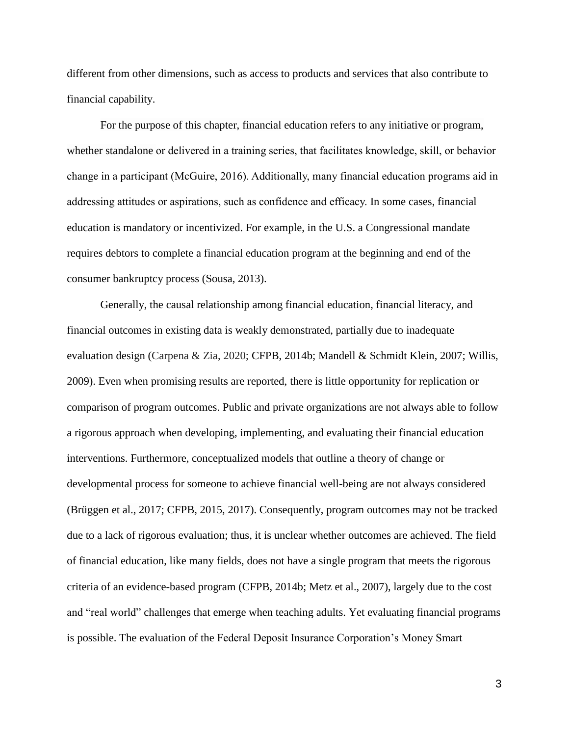different from other dimensions, such as access to products and services that also contribute to financial capability.

For the purpose of this chapter, financial education refers to any initiative or program, whether standalone or delivered in a training series, that facilitates knowledge, skill, or behavior change in a participant (McGuire, 2016). Additionally, many financial education programs aid in addressing attitudes or aspirations, such as confidence and efficacy. In some cases, financial education is mandatory or incentivized. For example, in the U.S. a Congressional mandate requires debtors to complete a financial education program at the beginning and end of the consumer bankruptcy process (Sousa, 2013).

Generally, the causal relationship among financial education, financial literacy, and financial outcomes in existing data is weakly demonstrated, partially due to inadequate evaluation design (Carpena & Zia, 2020; CFPB, 2014b; Mandell & Schmidt Klein, 2007; Willis, 2009). Even when promising results are reported, there is little opportunity for replication or comparison of program outcomes. Public and private organizations are not always able to follow a rigorous approach when developing, implementing, and evaluating their financial education interventions. Furthermore, conceptualized models that outline a theory of change or developmental process for someone to achieve financial well-being are not always considered (Brüggen et al., 2017; CFPB, 2015, 2017). Consequently, program outcomes may not be tracked due to a lack of rigorous evaluation; thus, it is unclear whether outcomes are achieved. The field of financial education, like many fields, does not have a single program that meets the rigorous criteria of an evidence-based program (CFPB, 2014b; Metz et al., 2007), largely due to the cost and "real world" challenges that emerge when teaching adults. Yet evaluating financial programs is possible. The evaluation of the Federal Deposit Insurance Corporation's Money Smart

3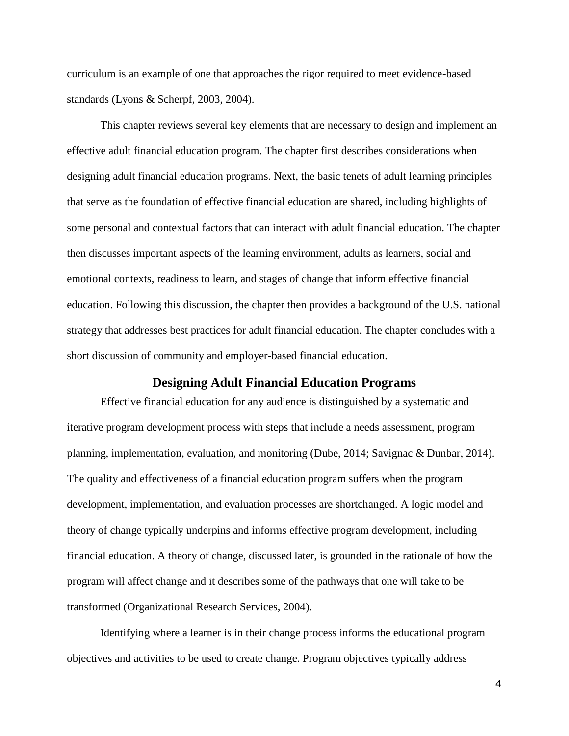curriculum is an example of one that approaches the rigor required to meet evidence-based standards (Lyons & Scherpf, 2003, 2004).

This chapter reviews several key elements that are necessary to design and implement an effective adult financial education program. The chapter first describes considerations when designing adult financial education programs. Next, the basic tenets of adult learning principles that serve as the foundation of effective financial education are shared, including highlights of some personal and contextual factors that can interact with adult financial education. The chapter then discusses important aspects of the learning environment, adults as learners, social and emotional contexts, readiness to learn, and stages of change that inform effective financial education. Following this discussion, the chapter then provides a background of the U.S. national strategy that addresses best practices for adult financial education. The chapter concludes with a short discussion of community and employer-based financial education.

### **Designing Adult Financial Education Programs**

Effective financial education for any audience is distinguished by a systematic and iterative program development process with steps that include a needs assessment, program planning, implementation, evaluation, and monitoring (Dube, 2014; Savignac & Dunbar, 2014). The quality and effectiveness of a financial education program suffers when the program development, implementation, and evaluation processes are shortchanged. A logic model and theory of change typically underpins and informs effective program development, including financial education. A theory of change, discussed later, is grounded in the rationale of how the program will affect change and it describes some of the pathways that one will take to be transformed (Organizational Research Services, 2004).

Identifying where a learner is in their change process informs the educational program objectives and activities to be used to create change. Program objectives typically address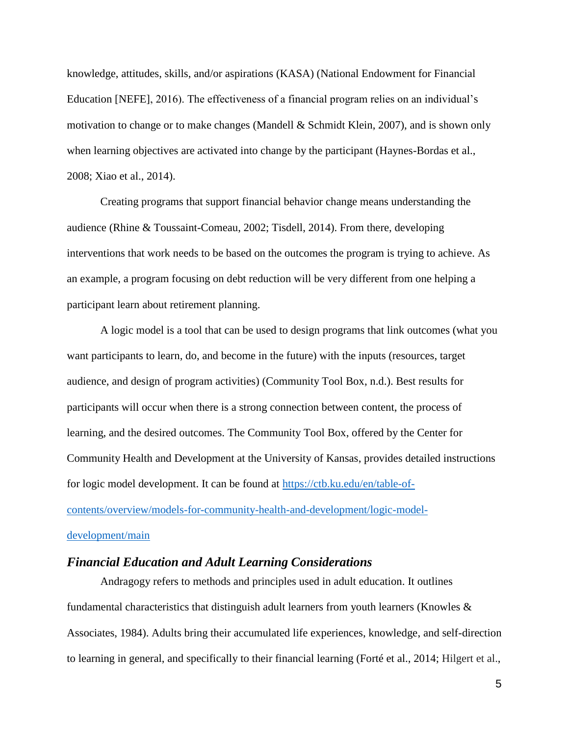knowledge, attitudes, skills, and/or aspirations (KASA) (National Endowment for Financial Education [NEFE], 2016). The effectiveness of a financial program relies on an individual's motivation to change or to make changes (Mandell  $&$  Schmidt Klein, 2007), and is shown only when learning objectives are activated into change by the participant (Haynes-Bordas et al., 2008; Xiao et al., 2014).

Creating programs that support financial behavior change means understanding the audience (Rhine & Toussaint-Comeau, 2002; Tisdell, 2014). From there, developing interventions that work needs to be based on the outcomes the program is trying to achieve. As an example, a program focusing on debt reduction will be very different from one helping a participant learn about retirement planning.

A logic model is a tool that can be used to design programs that link outcomes (what you want participants to learn, do, and become in the future) with the inputs (resources, target audience, and design of program activities) (Community Tool Box, n.d.). Best results for participants will occur when there is a strong connection between content, the process of learning, and the desired outcomes. The Community Tool Box, offered by the Center for Community Health and Development at the University of Kansas, provides detailed instructions for logic model development. It can be found at [https://ctb.ku.edu/en/table-of](https://ctb.ku.edu/en/table-of-contents/overview/models-for-community-health-and-development/logic-model-development/main)[contents/overview/models-for-community-health-and-development/logic-model](https://ctb.ku.edu/en/table-of-contents/overview/models-for-community-health-and-development/logic-model-development/main)[development/main](https://ctb.ku.edu/en/table-of-contents/overview/models-for-community-health-and-development/logic-model-development/main)

## *Financial Education and Adult Learning Considerations*

Andragogy refers to methods and principles used in adult education. It outlines fundamental characteristics that distinguish adult learners from youth learners (Knowles  $\&$ Associates, 1984). Adults bring their accumulated life experiences, knowledge, and self-direction to learning in general, and specifically to their financial learning (Forté et al., 2014; Hilgert et al.,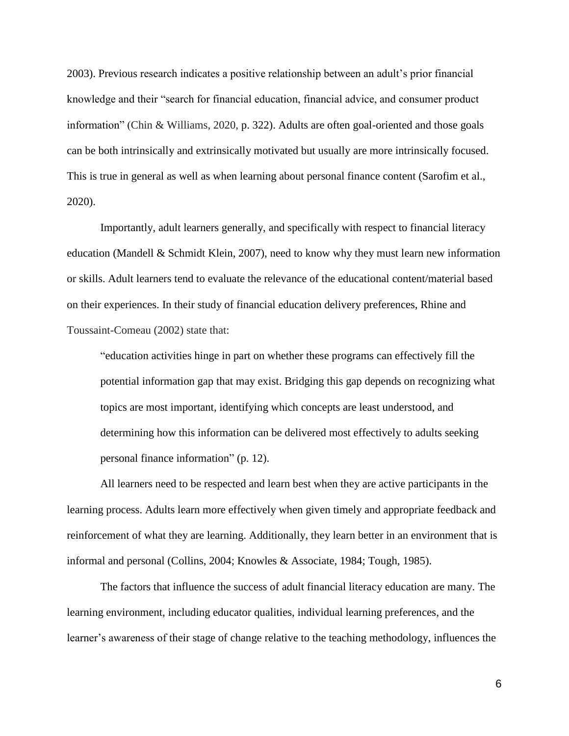2003). Previous research indicates a positive relationship between an adult's prior financial knowledge and their "search for financial education, financial advice, and consumer product information" (Chin & Williams, 2020, p. 322). Adults are often goal-oriented and those goals can be both intrinsically and extrinsically motivated but usually are more intrinsically focused. This is true in general as well as when learning about personal finance content (Sarofim et al., 2020).

Importantly, adult learners generally, and specifically with respect to financial literacy education (Mandell & Schmidt Klein, 2007), need to know why they must learn new information or skills. Adult learners tend to evaluate the relevance of the educational content/material based on their experiences. In their study of financial education delivery preferences, Rhine and Toussaint-Comeau (2002) state that:

"education activities hinge in part on whether these programs can effectively fill the potential information gap that may exist. Bridging this gap depends on recognizing what topics are most important, identifying which concepts are least understood, and determining how this information can be delivered most effectively to adults seeking personal finance information" (p. 12).

All learners need to be respected and learn best when they are active participants in the learning process. Adults learn more effectively when given timely and appropriate feedback and reinforcement of what they are learning. Additionally, they learn better in an environment that is informal and personal (Collins, 2004; Knowles & Associate, 1984; Tough, 1985).

The factors that influence the success of adult financial literacy education are many. The learning environment, including educator qualities, individual learning preferences, and the learner's awareness of their stage of change relative to the teaching methodology, influences the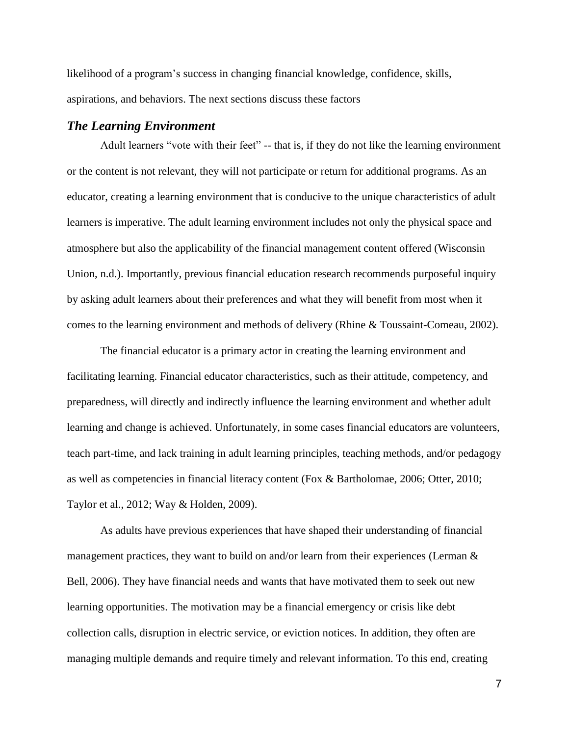likelihood of a program's success in changing financial knowledge, confidence, skills, aspirations, and behaviors. The next sections discuss these factors

#### *The Learning Environment*

Adult learners "vote with their feet" -- that is, if they do not like the learning environment or the content is not relevant, they will not participate or return for additional programs. As an educator, creating a learning environment that is conducive to the unique characteristics of adult learners is imperative. The adult learning environment includes not only the physical space and atmosphere but also the applicability of the financial management content offered (Wisconsin Union, n.d.). Importantly, previous financial education research recommends purposeful inquiry by asking adult learners about their preferences and what they will benefit from most when it comes to the learning environment and methods of delivery (Rhine & Toussaint-Comeau, 2002).

The financial educator is a primary actor in creating the learning environment and facilitating learning. Financial educator characteristics, such as their attitude, competency, and preparedness, will directly and indirectly influence the learning environment and whether adult learning and change is achieved. Unfortunately, in some cases financial educators are volunteers, teach part-time, and lack training in adult learning principles, teaching methods, and/or pedagogy as well as competencies in financial literacy content (Fox & Bartholomae, 2006; Otter, 2010; Taylor et al., 2012; Way & Holden, 2009).

As adults have previous experiences that have shaped their understanding of financial management practices, they want to build on and/or learn from their experiences (Lerman & Bell, 2006). They have financial needs and wants that have motivated them to seek out new learning opportunities. The motivation may be a financial emergency or crisis like debt collection calls, disruption in electric service, or eviction notices. In addition, they often are managing multiple demands and require timely and relevant information. To this end, creating

7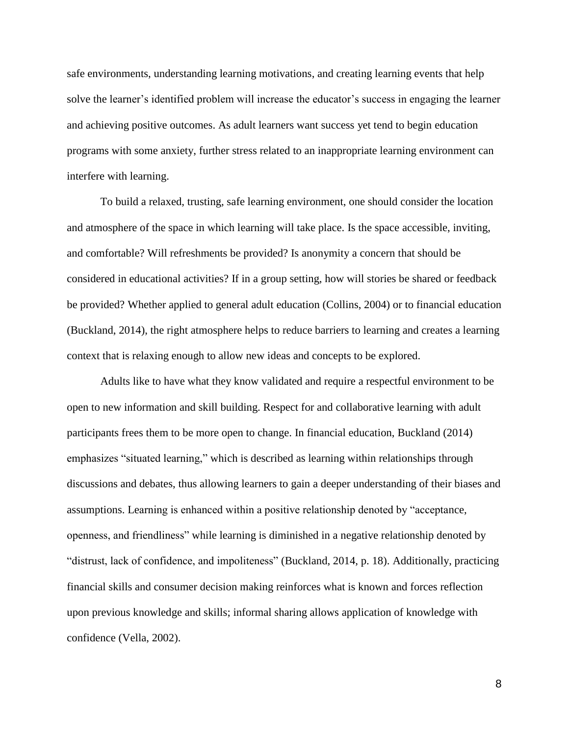safe environments, understanding learning motivations, and creating learning events that help solve the learner's identified problem will increase the educator's success in engaging the learner and achieving positive outcomes. As adult learners want success yet tend to begin education programs with some anxiety, further stress related to an inappropriate learning environment can interfere with learning.

To build a relaxed, trusting, safe learning environment, one should consider the location and atmosphere of the space in which learning will take place. Is the space accessible, inviting, and comfortable? Will refreshments be provided? Is anonymity a concern that should be considered in educational activities? If in a group setting, how will stories be shared or feedback be provided? Whether applied to general adult education (Collins, 2004) or to financial education (Buckland, 2014), the right atmosphere helps to reduce barriers to learning and creates a learning context that is relaxing enough to allow new ideas and concepts to be explored.

Adults like to have what they know validated and require a respectful environment to be open to new information and skill building. Respect for and collaborative learning with adult participants frees them to be more open to change. In financial education, Buckland (2014) emphasizes "situated learning," which is described as learning within relationships through discussions and debates, thus allowing learners to gain a deeper understanding of their biases and assumptions. Learning is enhanced within a positive relationship denoted by "acceptance, openness, and friendliness" while learning is diminished in a negative relationship denoted by "distrust, lack of confidence, and impoliteness" (Buckland, 2014, p. 18). Additionally, practicing financial skills and consumer decision making reinforces what is known and forces reflection upon previous knowledge and skills; informal sharing allows application of knowledge with confidence (Vella, 2002).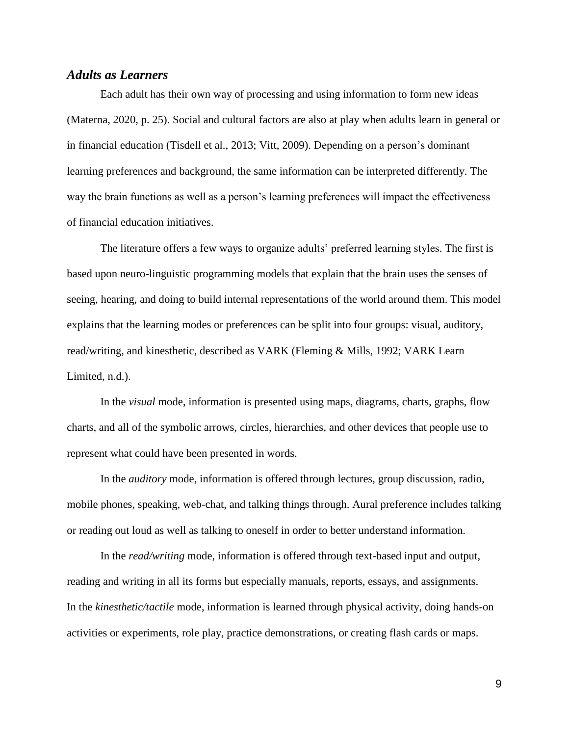## *Adults as Learners*

Each adult has their own way of processing and using information to form new ideas (Materna, 2020, p. 25). Social and cultural factors are also at play when adults learn in general or in financial education (Tisdell et al., 2013; Vitt, 2009). Depending on a person's dominant learning preferences and background, the same information can be interpreted differently. The way the brain functions as well as a person's learning preferences will impact the effectiveness of financial education initiatives.

The literature offers a few ways to organize adults' preferred learning styles. The first is based upon neuro-linguistic programming models that explain that the brain uses the senses of seeing, hearing, and doing to build internal representations of the world around them. This model explains that the learning modes or preferences can be split into four groups: visual, auditory, read/writing, and kinesthetic, described as VARK (Fleming & Mills, 1992; VARK Learn Limited, n.d.).

In the *visual* mode, information is presented using maps, diagrams, charts, graphs, flow charts, and all of the symbolic arrows, circles, hierarchies, and other devices that people use to represent what could have been presented in words.

In the *auditory* mode, information is offered through lectures, group discussion, radio, mobile phones, speaking, web-chat, and talking things through. Aural preference includes talking or reading out loud as well as talking to oneself in order to better understand information.

In the *read/writing* mode, information is offered through text-based input and output, reading and writing in all its forms but especially manuals, reports, essays, and assignments. In the *kinesthetic/tactile* mode, information is learned through physical activity, doing hands-on activities or experiments, role play, practice demonstrations, or creating flash cards or maps.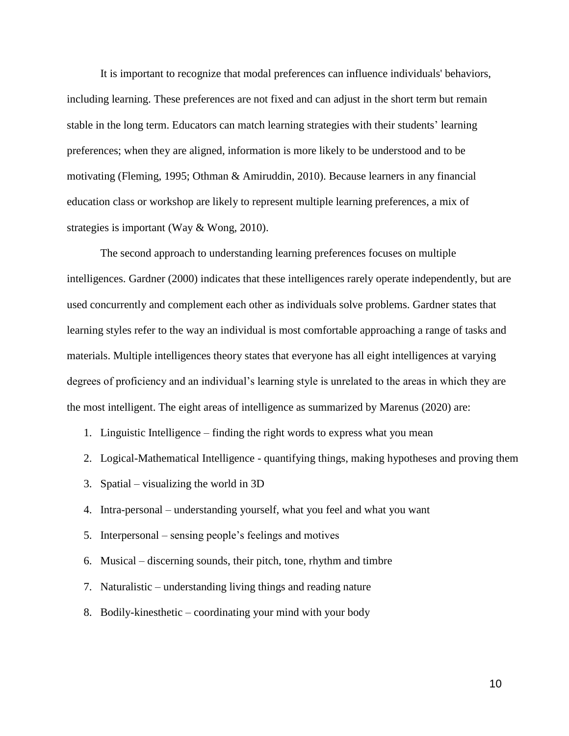It is important to recognize that modal preferences can influence individuals' behaviors, including learning. These preferences are not fixed and can adjust in the short term but remain stable in the long term. Educators can match learning strategies with their students' learning preferences; when they are aligned, information is more likely to be understood and to be motivating (Fleming, 1995; Othman & Amiruddin, 2010). Because learners in any financial education class or workshop are likely to represent multiple learning preferences, a mix of strategies is important (Way & Wong, 2010).

The second approach to understanding learning preferences focuses on multiple intelligences. Gardner (2000) indicates that these intelligences rarely operate independently, but are used concurrently and complement each other as individuals solve problems. Gardner states that learning styles refer to the way an individual is most comfortable approaching a range of tasks and materials. Multiple intelligences theory states that everyone has all eight intelligences at varying degrees of proficiency and an individual's learning style is unrelated to the areas in which they are the most intelligent. The eight areas of intelligence as summarized by Marenus (2020) are:

- 1. Linguistic Intelligence finding the right words to express what you mean
- 2. Logical-Mathematical Intelligence quantifying things, making hypotheses and proving them
- 3. Spatial visualizing the world in 3D
- 4. Intra-personal understanding yourself, what you feel and what you want
- 5. Interpersonal sensing people's feelings and motives
- 6. Musical discerning sounds, their pitch, tone, rhythm and timbre
- 7. Naturalistic understanding living things and reading nature
- 8. Bodily-kinesthetic coordinating your mind with your body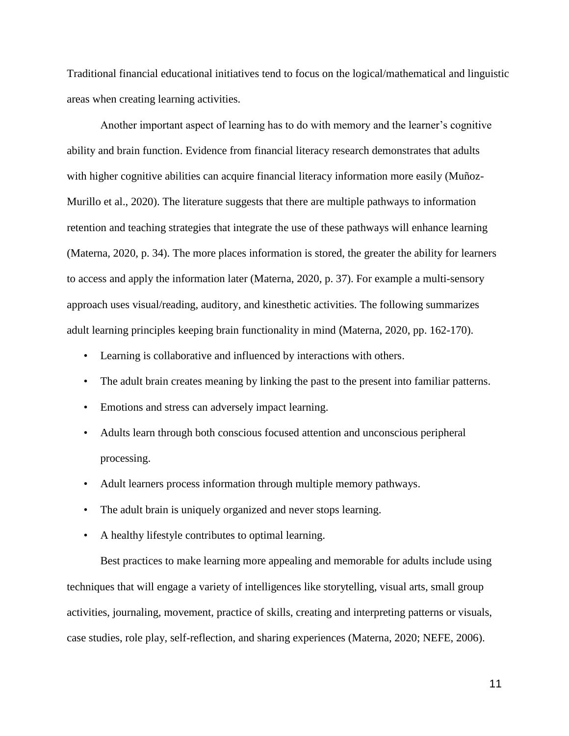Traditional financial educational initiatives tend to focus on the logical/mathematical and linguistic areas when creating learning activities.

Another important aspect of learning has to do with memory and the learner's cognitive ability and brain function. Evidence from financial literacy research demonstrates that adults with higher cognitive abilities can acquire financial literacy information more easily (Muñoz-Murillo et al., 2020). The literature suggests that there are multiple pathways to information retention and teaching strategies that integrate the use of these pathways will enhance learning (Materna, 2020, p. 34). The more places information is stored, the greater the ability for learners to access and apply the information later (Materna, 2020, p. 37). For example a multi-sensory approach uses visual/reading, auditory, and kinesthetic activities. The following summarizes adult learning principles keeping brain functionality in mind (Materna, 2020, pp. 162-170).

- Learning is collaborative and influenced by interactions with others.
- The adult brain creates meaning by linking the past to the present into familiar patterns.
- Emotions and stress can adversely impact learning.
- Adults learn through both conscious focused attention and unconscious peripheral processing.
- Adult learners process information through multiple memory pathways.
- The adult brain is uniquely organized and never stops learning.
- A healthy lifestyle contributes to optimal learning.

Best practices to make learning more appealing and memorable for adults include using techniques that will engage a variety of intelligences like storytelling, visual arts, small group activities, journaling, movement, practice of skills, creating and interpreting patterns or visuals, case studies, role play, self-reflection, and sharing experiences (Materna, 2020; NEFE, 2006).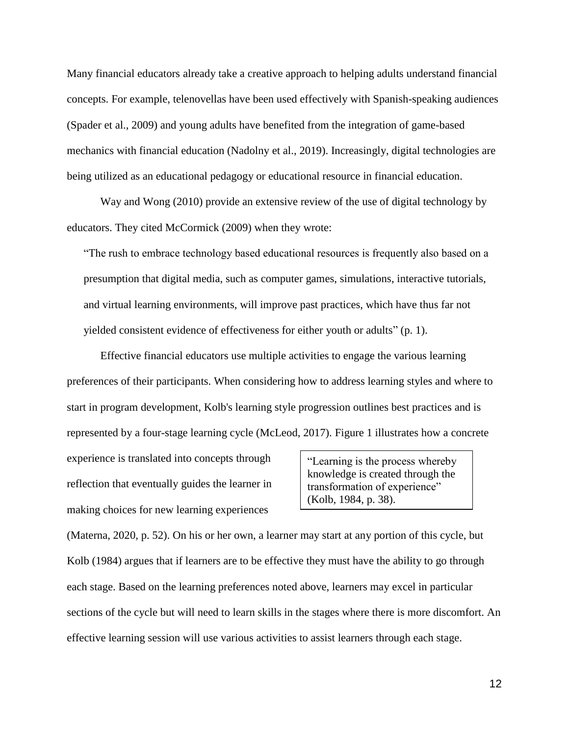Many financial educators already take a creative approach to helping adults understand financial concepts. For example, telenovellas have been used effectively with Spanish-speaking audiences (Spader et al., 2009) and young adults have benefited from the integration of game-based mechanics with financial education (Nadolny et al., 2019). Increasingly, digital technologies are being utilized as an educational pedagogy or educational resource in financial education.

Way and Wong (2010) provide an extensive review of the use of digital technology by educators. They cited McCormick (2009) when they wrote:

"The rush to embrace technology based educational resources is frequently also based on a presumption that digital media, such as computer games, simulations, interactive tutorials, and virtual learning environments, will improve past practices, which have thus far not yielded consistent evidence of effectiveness for either youth or adults" (p. 1).

Effective financial educators use multiple activities to engage the various learning preferences of their participants. When considering how to address learning styles and where to start in program development, Kolb's learning style progression outlines best practices and is represented by a four-stage learning cycle (McLeod, 2017). Figure 1 illustrates how a concrete

experience is translated into concepts through reflection that eventually guides the learner in making choices for new learning experiences

"Learning is the process whereby knowledge is created through the transformation of experience" (Kolb, 1984, p. 38).

(Materna, 2020, p. 52). On his or her own, a learner may start at any portion of this cycle, but Kolb (1984) argues that if learners are to be effective they must have the ability to go through each stage. Based on the learning preferences noted above, learners may excel in particular sections of the cycle but will need to learn skills in the stages where there is more discomfort. An effective learning session will use various activities to assist learners through each stage.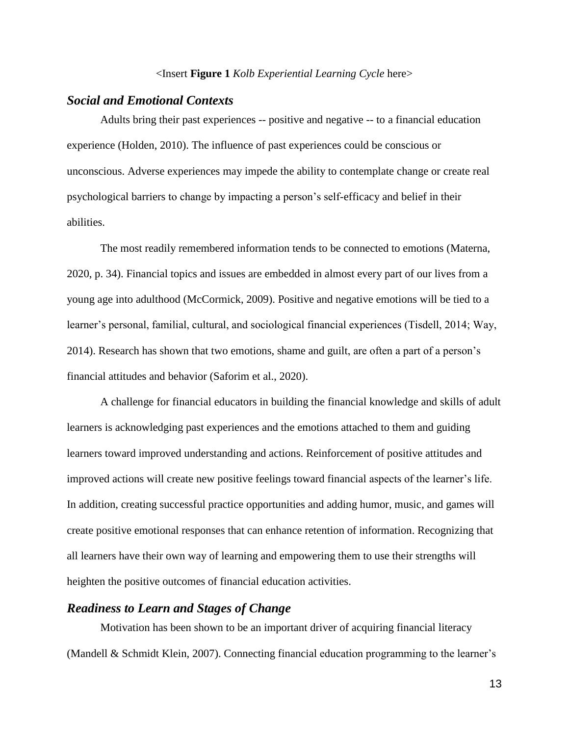#### <Insert **Figure 1** *Kolb Experiential Learning Cycle* here>

#### *Social and Emotional Contexts*

Adults bring their past experiences -- positive and negative -- to a financial education experience (Holden, 2010). The influence of past experiences could be conscious or unconscious. Adverse experiences may impede the ability to contemplate change or create real psychological barriers to change by impacting a person's self-efficacy and belief in their abilities.

The most readily remembered information tends to be connected to emotions (Materna, 2020, p. 34). Financial topics and issues are embedded in almost every part of our lives from a young age into adulthood (McCormick, 2009). Positive and negative emotions will be tied to a learner's personal, familial, cultural, and sociological financial experiences (Tisdell, 2014; Way, 2014). Research has shown that two emotions, shame and guilt, are often a part of a person's financial attitudes and behavior (Saforim et al., 2020).

A challenge for financial educators in building the financial knowledge and skills of adult learners is acknowledging past experiences and the emotions attached to them and guiding learners toward improved understanding and actions. Reinforcement of positive attitudes and improved actions will create new positive feelings toward financial aspects of the learner's life. In addition, creating successful practice opportunities and adding humor, music, and games will create positive emotional responses that can enhance retention of information. Recognizing that all learners have their own way of learning and empowering them to use their strengths will heighten the positive outcomes of financial education activities.

## *Readiness to Learn and Stages of Change*

Motivation has been shown to be an important driver of acquiring financial literacy (Mandell & Schmidt Klein, 2007). Connecting financial education programming to the learner's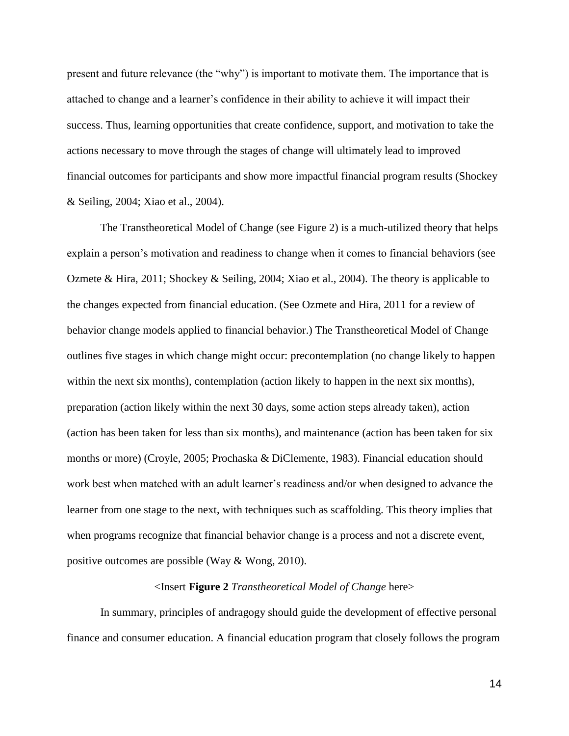present and future relevance (the "why") is important to motivate them. The importance that is attached to change and a learner's confidence in their ability to achieve it will impact their success. Thus, learning opportunities that create confidence, support, and motivation to take the actions necessary to move through the stages of change will ultimately lead to improved financial outcomes for participants and show more impactful financial program results (Shockey & Seiling, 2004; Xiao et al., 2004).

The Transtheoretical Model of Change (see Figure 2) is a much-utilized theory that helps explain a person's motivation and readiness to change when it comes to financial behaviors (see Ozmete & Hira, 2011; Shockey & Seiling, 2004; Xiao et al., 2004). The theory is applicable to the changes expected from financial education. (See Ozmete and Hira, 2011 for a review of behavior change models applied to financial behavior.) The Transtheoretical Model of Change outlines five stages in which change might occur: precontemplation (no change likely to happen within the next six months), contemplation (action likely to happen in the next six months), preparation (action likely within the next 30 days, some action steps already taken), action (action has been taken for less than six months), and maintenance (action has been taken for six months or more) (Croyle, 2005; Prochaska & DiClemente, 1983). Financial education should work best when matched with an adult learner's readiness and/or when designed to advance the learner from one stage to the next, with techniques such as scaffolding. This theory implies that when programs recognize that financial behavior change is a process and not a discrete event, positive outcomes are possible (Way & Wong, 2010).

#### <Insert **Figure 2** *Transtheoretical Model of Change* here>

In summary, principles of andragogy should guide the development of effective personal finance and consumer education. A financial education program that closely follows the program

14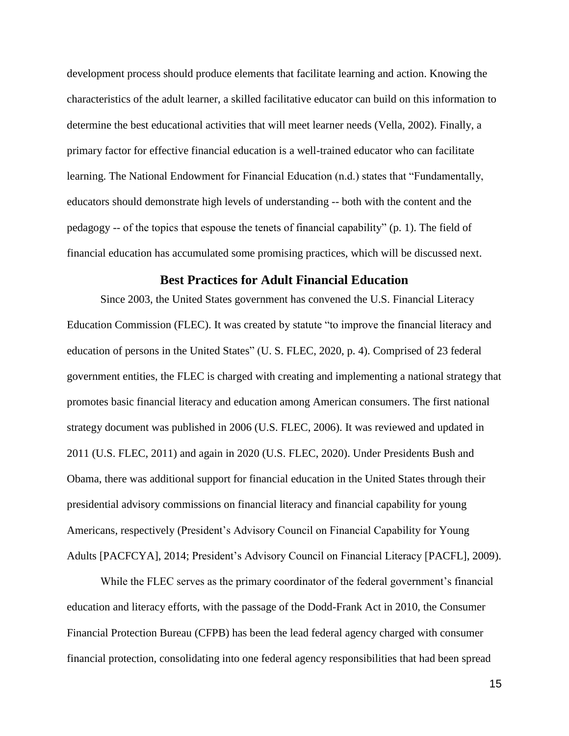development process should produce elements that facilitate learning and action. Knowing the characteristics of the adult learner, a skilled facilitative educator can build on this information to determine the best educational activities that will meet learner needs (Vella, 2002). Finally, a primary factor for effective financial education is a well-trained educator who can facilitate learning. The National Endowment for Financial Education (n.d.) states that "Fundamentally, educators should demonstrate high levels of understanding -- both with the content and the pedagogy -- of the topics that espouse the tenets of financial capability" (p. 1). The field of financial education has accumulated some promising practices, which will be discussed next.

#### **Best Practices for Adult Financial Education**

Since 2003, the United States government has convened the U.S. Financial Literacy Education Commission (FLEC). It was created by statute "to improve the financial literacy and education of persons in the United States" (U. S. FLEC, 2020, p. 4). Comprised of 23 federal government entities, the FLEC is charged with creating and implementing a national strategy that promotes basic financial literacy and education among American consumers. The first national strategy document was published in 2006 (U.S. FLEC, 2006). It was reviewed and updated in 2011 (U.S. FLEC, 2011) and again in 2020 (U.S. FLEC, 2020). Under Presidents Bush and Obama, there was additional support for financial education in the United States through their presidential advisory commissions on financial literacy and financial capability for young Americans, respectively (President's Advisory Council on Financial Capability for Young Adults [PACFCYA], 2014; President's Advisory Council on Financial Literacy [PACFL], 2009).

While the FLEC serves as the primary coordinator of the federal government's financial education and literacy efforts, with the passage of the Dodd-Frank Act in 2010, the Consumer Financial Protection Bureau (CFPB) has been the lead federal agency charged with consumer financial protection, consolidating into one federal agency responsibilities that had been spread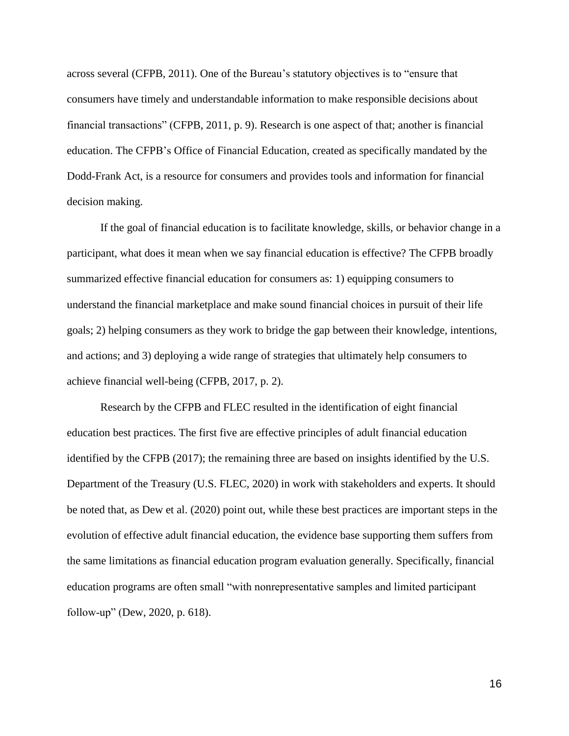across several (CFPB, 2011). One of the Bureau's statutory objectives is to "ensure that consumers have timely and understandable information to make responsible decisions about financial transactions" (CFPB, 2011, p. 9). Research is one aspect of that; another is financial education. The CFPB's Office of Financial Education, created as specifically mandated by the Dodd-Frank Act, is a resource for consumers and provides tools and information for financial decision making.

If the goal of financial education is to facilitate knowledge, skills, or behavior change in a participant, what does it mean when we say financial education is effective? The CFPB broadly summarized effective financial education for consumers as: 1) equipping consumers to understand the financial marketplace and make sound financial choices in pursuit of their life goals; 2) helping consumers as they work to bridge the gap between their knowledge, intentions, and actions; and 3) deploying a wide range of strategies that ultimately help consumers to achieve financial well-being (CFPB, 2017, p. 2).

Research by the CFPB and FLEC resulted in the identification of eight financial education best practices. The first five are effective principles of adult financial education identified by the CFPB (2017); the remaining three are based on insights identified by the U.S. Department of the Treasury (U.S. FLEC, 2020) in work with stakeholders and experts. It should be noted that, as Dew et al. (2020) point out, while these best practices are important steps in the evolution of effective adult financial education, the evidence base supporting them suffers from the same limitations as financial education program evaluation generally. Specifically, financial education programs are often small "with nonrepresentative samples and limited participant follow‐up" (Dew, 2020, p. 618).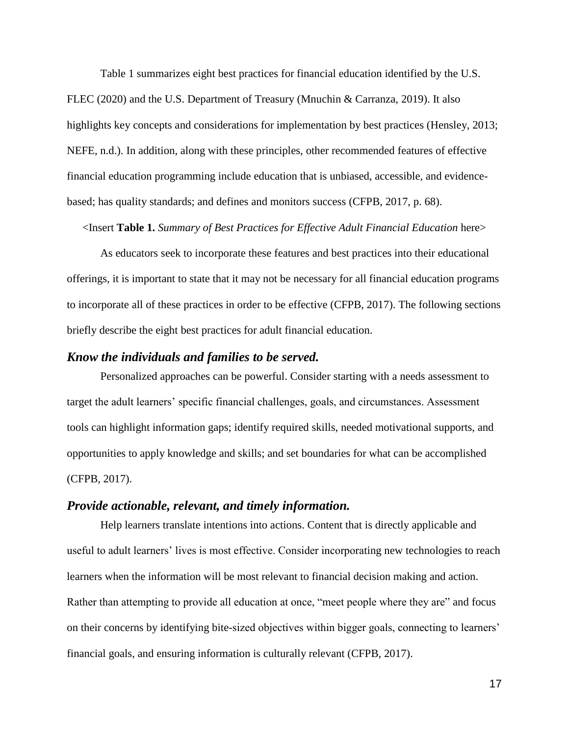Table 1 summarizes eight best practices for financial education identified by the U.S. FLEC (2020) and the U.S. Department of Treasury (Mnuchin & Carranza, 2019). It also highlights key concepts and considerations for implementation by best practices (Hensley, 2013; NEFE, n.d.). In addition, along with these principles, other recommended features of effective financial education programming include education that is unbiased, accessible, and evidencebased; has quality standards; and defines and monitors success (CFPB, 2017, p. 68).

<Insert **Table 1.** *Summary of Best Practices for Effective Adult Financial Education* here>

As educators seek to incorporate these features and best practices into their educational offerings, it is important to state that it may not be necessary for all financial education programs to incorporate all of these practices in order to be effective (CFPB, 2017). The following sections briefly describe the eight best practices for adult financial education.

#### *Know the individuals and families to be served.*

Personalized approaches can be powerful. Consider starting with a needs assessment to target the adult learners' specific financial challenges, goals, and circumstances. Assessment tools can highlight information gaps; identify required skills, needed motivational supports, and opportunities to apply knowledge and skills; and set boundaries for what can be accomplished (CFPB, 2017).

#### *Provide actionable, relevant, and timely information.*

Help learners translate intentions into actions. Content that is directly applicable and useful to adult learners' lives is most effective. Consider incorporating new technologies to reach learners when the information will be most relevant to financial decision making and action. Rather than attempting to provide all education at once, "meet people where they are" and focus on their concerns by identifying bite-sized objectives within bigger goals, connecting to learners' financial goals, and ensuring information is culturally relevant (CFPB, 2017).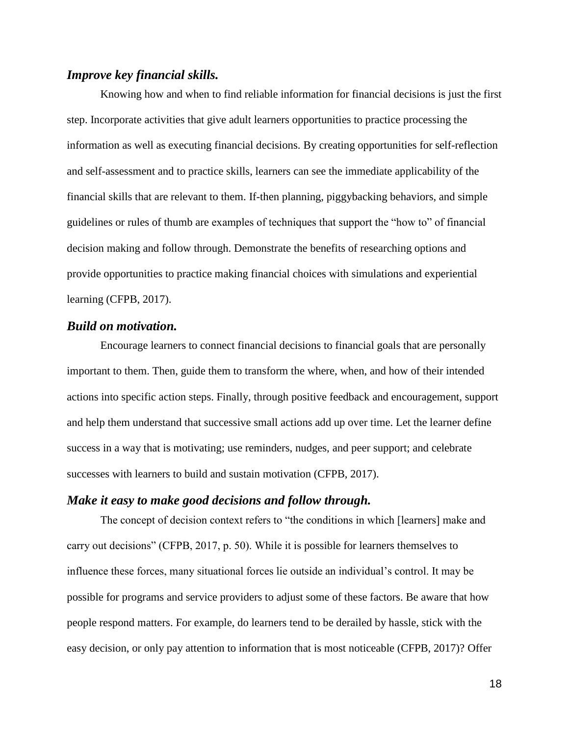## *Improve key financial skills.*

Knowing how and when to find reliable information for financial decisions is just the first step. Incorporate activities that give adult learners opportunities to practice processing the information as well as executing financial decisions. By creating opportunities for self-reflection and self-assessment and to practice skills, learners can see the immediate applicability of the financial skills that are relevant to them. If-then planning, piggybacking behaviors, and simple guidelines or rules of thumb are examples of techniques that support the "how to" of financial decision making and follow through. Demonstrate the benefits of researching options and provide opportunities to practice making financial choices with simulations and experiential learning (CFPB, 2017).

## *Build on motivation.*

Encourage learners to connect financial decisions to financial goals that are personally important to them. Then, guide them to transform the where, when, and how of their intended actions into specific action steps. Finally, through positive feedback and encouragement, support and help them understand that successive small actions add up over time. Let the learner define success in a way that is motivating; use reminders, nudges, and peer support; and celebrate successes with learners to build and sustain motivation (CFPB, 2017).

#### *Make it easy to make good decisions and follow through.*

The concept of decision context refers to "the conditions in which [learners] make and carry out decisions" (CFPB, 2017, p. 50). While it is possible for learners themselves to influence these forces, many situational forces lie outside an individual's control. It may be possible for programs and service providers to adjust some of these factors. Be aware that how people respond matters. For example, do learners tend to be derailed by hassle, stick with the easy decision, or only pay attention to information that is most noticeable (CFPB, 2017)? Offer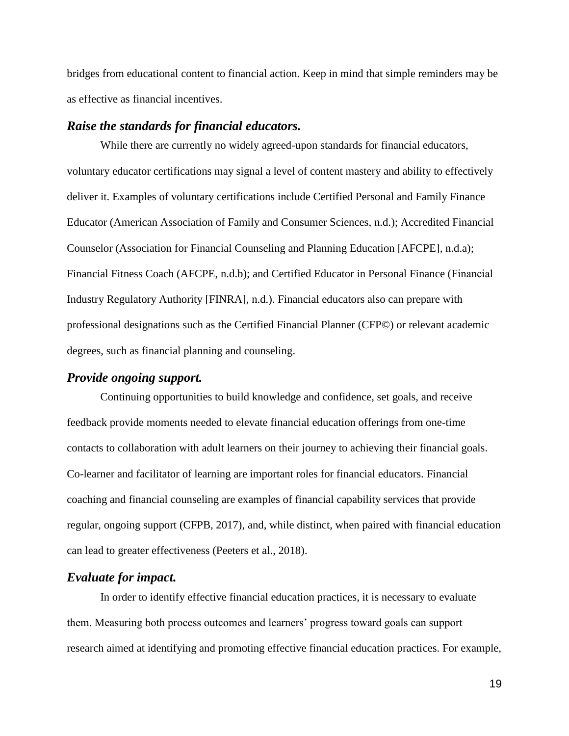bridges from educational content to financial action. Keep in mind that simple reminders may be as effective as financial incentives.

#### *Raise the standards for financial educators.*

While there are currently no widely agreed-upon standards for financial educators, voluntary educator certifications may signal a level of content mastery and ability to effectively deliver it. Examples of voluntary certifications include Certified Personal and Family Finance Educator (American Association of Family and Consumer Sciences, n.d.); Accredited Financial Counselor (Association for Financial Counseling and Planning Education [AFCPE], n.d.a); Financial Fitness Coach (AFCPE, n.d.b); and Certified Educator in Personal Finance (Financial Industry Regulatory Authority [FINRA], n.d.). Financial educators also can prepare with professional designations such as the Certified Financial Planner (CFP©) or relevant academic degrees, such as financial planning and counseling.

#### *Provide ongoing support.*

Continuing opportunities to build knowledge and confidence, set goals, and receive feedback provide moments needed to elevate financial education offerings from one-time contacts to collaboration with adult learners on their journey to achieving their financial goals. Co-learner and facilitator of learning are important roles for financial educators. Financial coaching and financial counseling are examples of financial capability services that provide regular, ongoing support (CFPB, 2017), and, while distinct, when paired with financial education can lead to greater effectiveness (Peeters et al., 2018).

### *Evaluate for impact.*

In order to identify effective financial education practices, it is necessary to evaluate them. Measuring both process outcomes and learners' progress toward goals can support research aimed at identifying and promoting effective financial education practices. For example,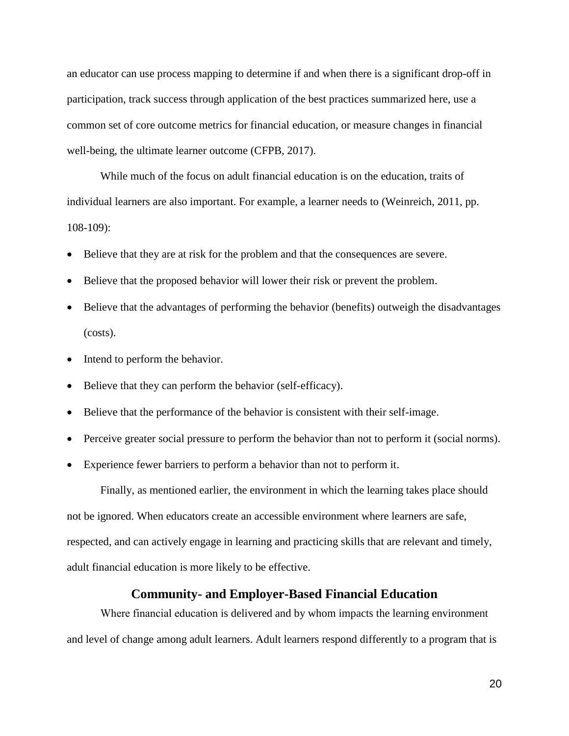an educator can use process mapping to determine if and when there is a significant drop-off in participation, track success through application of the best practices summarized here, use a common set of core outcome metrics for financial education, or measure changes in financial well-being, the ultimate learner outcome (CFPB, 2017).

While much of the focus on adult financial education is on the education, traits of individual learners are also important. For example, a learner needs to (Weinreich, 2011, pp. 108-109):

- Believe that they are at risk for the problem and that the consequences are severe.
- Believe that the proposed behavior will lower their risk or prevent the problem.
- Believe that the advantages of performing the behavior (benefits) outweigh the disadvantages (costs).
- Intend to perform the behavior.
- Believe that they can perform the behavior (self-efficacy).
- Believe that the performance of the behavior is consistent with their self-image.
- Perceive greater social pressure to perform the behavior than not to perform it (social norms).
- Experience fewer barriers to perform a behavior than not to perform it.

Finally, as mentioned earlier, the environment in which the learning takes place should not be ignored. When educators create an accessible environment where learners are safe, respected, and can actively engage in learning and practicing skills that are relevant and timely, adult financial education is more likely to be effective.

#### **Community- and Employer-Based Financial Education**

Where financial education is delivered and by whom impacts the learning environment and level of change among adult learners. Adult learners respond differently to a program that is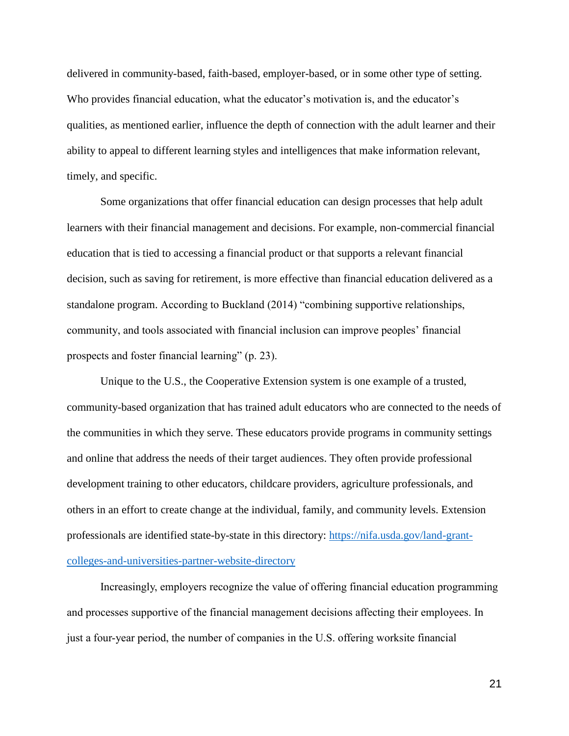delivered in community-based, faith-based, employer-based, or in some other type of setting. Who provides financial education, what the educator's motivation is, and the educator's qualities, as mentioned earlier, influence the depth of connection with the adult learner and their ability to appeal to different learning styles and intelligences that make information relevant, timely, and specific.

Some organizations that offer financial education can design processes that help adult learners with their financial management and decisions. For example, non-commercial financial education that is tied to accessing a financial product or that supports a relevant financial decision, such as saving for retirement, is more effective than financial education delivered as a standalone program. According to Buckland (2014) "combining supportive relationships, community, and tools associated with financial inclusion can improve peoples' financial prospects and foster financial learning" (p. 23).

Unique to the U.S., the Cooperative Extension system is one example of a trusted, community-based organization that has trained adult educators who are connected to the needs of the communities in which they serve. These educators provide programs in community settings and online that address the needs of their target audiences. They often provide professional development training to other educators, childcare providers, agriculture professionals, and others in an effort to create change at the individual, family, and community levels. Extension professionals are identified state-by-state in this directory: [https://nifa.usda.gov/land-grant](https://nifa.usda.gov/land-grant-colleges-and-universities-partner-website-directory)[colleges-and-universities-partner-website-directory](https://nifa.usda.gov/land-grant-colleges-and-universities-partner-website-directory)

Increasingly, employers recognize the value of offering financial education programming and processes supportive of the financial management decisions affecting their employees. In just a four-year period, the number of companies in the U.S. offering worksite financial

21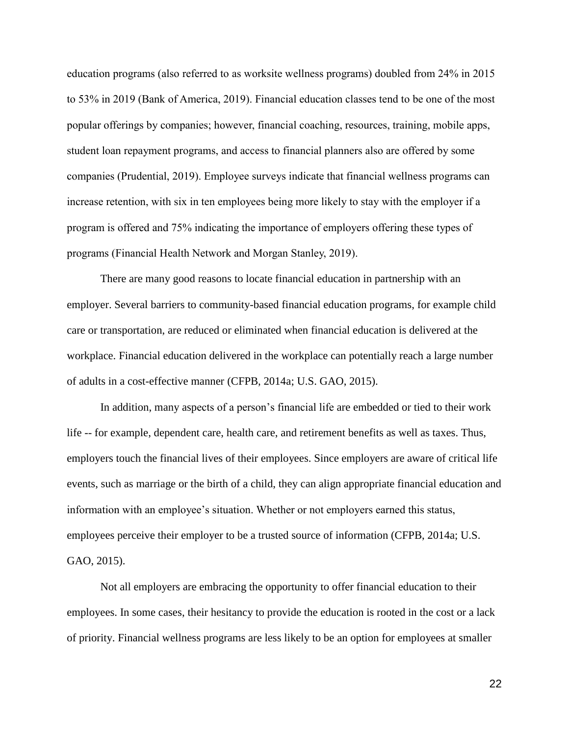education programs (also referred to as worksite wellness programs) doubled from 24% in 2015 to 53% in 2019 (Bank of America, 2019). Financial education classes tend to be one of the most popular offerings by companies; however, financial coaching, resources, training, mobile apps, student loan repayment programs, and access to financial planners also are offered by some companies (Prudential, 2019). Employee surveys indicate that financial wellness programs can increase retention, with six in ten employees being more likely to stay with the employer if a program is offered and 75% indicating the importance of employers offering these types of programs (Financial Health Network and Morgan Stanley, 2019).

There are many good reasons to locate financial education in partnership with an employer. Several barriers to community-based financial education programs, for example child care or transportation, are reduced or eliminated when financial education is delivered at the workplace. Financial education delivered in the workplace can potentially reach a large number of adults in a cost-effective manner (CFPB, 2014a; U.S. GAO, 2015).

In addition, many aspects of a person's financial life are embedded or tied to their work life -- for example, dependent care, health care, and retirement benefits as well as taxes. Thus, employers touch the financial lives of their employees. Since employers are aware of critical life events, such as marriage or the birth of a child, they can align appropriate financial education and information with an employee's situation. Whether or not employers earned this status, employees perceive their employer to be a trusted source of information (CFPB, 2014a; U.S. GAO, 2015).

Not all employers are embracing the opportunity to offer financial education to their employees. In some cases, their hesitancy to provide the education is rooted in the cost or a lack of priority. Financial wellness programs are less likely to be an option for employees at smaller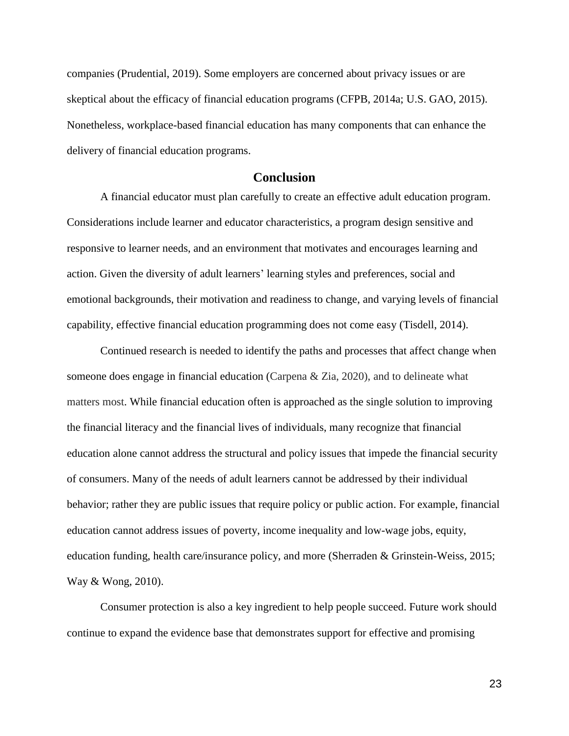companies (Prudential, 2019). Some employers are concerned about privacy issues or are skeptical about the efficacy of financial education programs (CFPB, 2014a; U.S. GAO, 2015). Nonetheless, workplace-based financial education has many components that can enhance the delivery of financial education programs.

## **Conclusion**

A financial educator must plan carefully to create an effective adult education program. Considerations include learner and educator characteristics, a program design sensitive and responsive to learner needs, and an environment that motivates and encourages learning and action. Given the diversity of adult learners' learning styles and preferences, social and emotional backgrounds, their motivation and readiness to change, and varying levels of financial capability, effective financial education programming does not come easy (Tisdell, 2014).

Continued research is needed to identify the paths and processes that affect change when someone does engage in financial education (Carpena & Zia, 2020), and to delineate what matters most. While financial education often is approached as the single solution to improving the financial literacy and the financial lives of individuals, many recognize that financial education alone cannot address the structural and policy issues that impede the financial security of consumers. Many of the needs of adult learners cannot be addressed by their individual behavior; rather they are public issues that require policy or public action. For example, financial education cannot address issues of poverty, income inequality and low-wage jobs, equity, education funding, health care/insurance policy, and more (Sherraden & Grinstein-Weiss, 2015; Way & Wong, 2010).

Consumer protection is also a key ingredient to help people succeed. Future work should continue to expand the evidence base that demonstrates support for effective and promising

23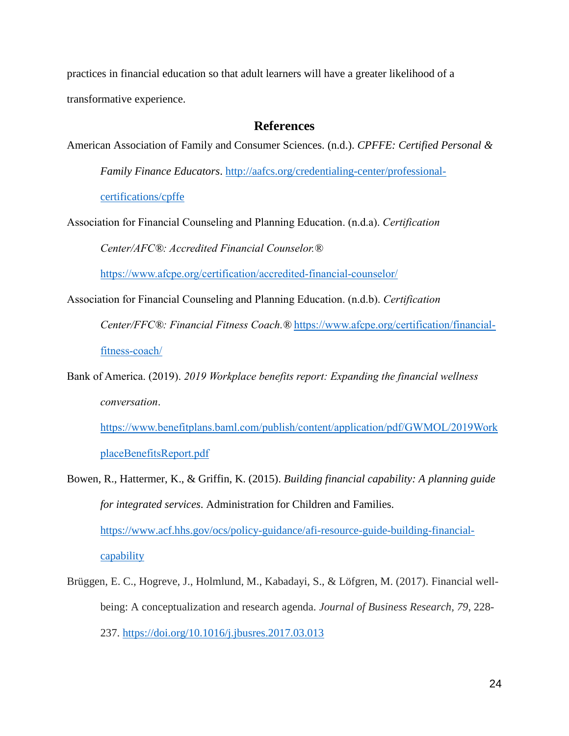practices in financial education so that adult learners will have a greater likelihood of a transformative experience.

## **References**

American Association of Family and Consumer Sciences. (n.d.). *CPFFE: Certified Personal &* 

*Family Finance Educators*. [http://aafcs.org/credentialing-center/professional-](http://aafcs.org/credentialing-center/professional-certifications/cpffe)

[certifications/cpffe](http://aafcs.org/credentialing-center/professional-certifications/cpffe)

Association for Financial Counseling and Planning Education. (n.d.a). *Certification* 

*Center/AFC®: Accredited Financial Counselor.®*

<https://www.afcpe.org/certification/accredited-financial-counselor/>

Association for Financial Counseling and Planning Education. (n.d.b). *Certification* 

*Center/FFC®: Financial Fitness Coach.®* [https://www.afcpe.org/certification/financial-](https://www.afcpe.org/certification/financial-fitness-coach/)

[fitness-coach/](https://www.afcpe.org/certification/financial-fitness-coach/)

Bank of America. (2019). *2019 Workplace benefits report: Expanding the financial wellness conversation*.

[https://www.benefitplans.baml.com/publish/content/application/pdf/GWMOL/2019Work](https://www.benefitplans.baml.com/publish/content/application/pdf/GWMOL/2019WorkplaceBenefitsReport.pdf) [placeBenefitsReport.pdf](https://www.benefitplans.baml.com/publish/content/application/pdf/GWMOL/2019WorkplaceBenefitsReport.pdf)

Bowen, R., Hattermer, K., & Griffin, K. (2015). *Building financial capability: A planning guide for integrated services*. Administration for Children and Families. [https://www.acf.hhs.gov/ocs/policy-guidance/afi-resource-guide-building-financial-](https://www.acf.hhs.gov/ocs/policy-guidance/afi-resource-guide-building-financial-capability)

[capability](https://www.acf.hhs.gov/ocs/policy-guidance/afi-resource-guide-building-financial-capability)

Brüggen, E. C., Hogreve, J., Holmlund, M., Kabadayi, S., & Löfgren, M. (2017). Financial wellbeing: A conceptualization and research agenda. *Journal of Business Research, 79*, 228- 237.<https://doi.org/10.1016/j.jbusres.2017.03.013>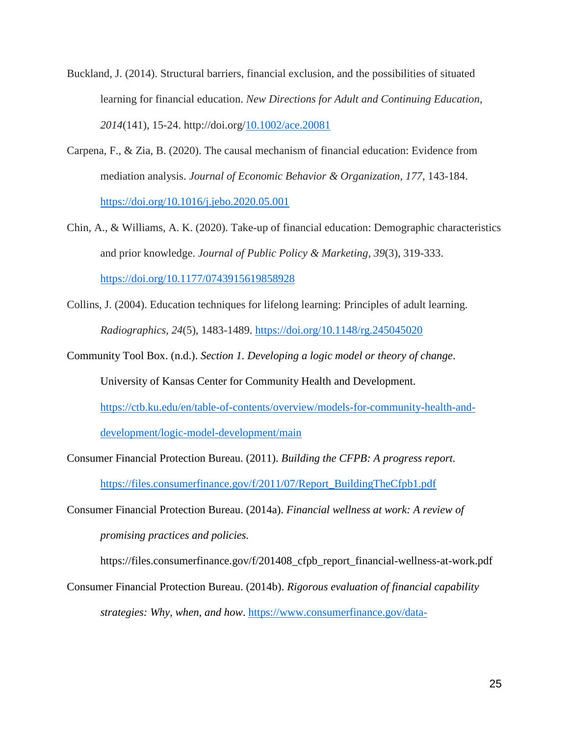- Buckland, J. (2014). Structural barriers, financial exclusion, and the possibilities of situated learning for financial education. *New Directions for Adult and Continuing Education*, *2014*(141), 15-24. http://doi.org[/10.1002/ace.20081](https://www.researchgate.net/deref/http%3A%2F%2Fdx.doi.org%2F10.1002%2Face.20081)
- Carpena, F., & Zia, B. (2020). The causal mechanism of financial education: Evidence from mediation analysis. *Journal of Economic Behavior & Organization, 177*, 143-184. <https://doi.org/10.1016/j.jebo.2020.05.001>
- Chin, A., & Williams, A. K. (2020). Take-up of financial education: Demographic characteristics and prior knowledge. *Journal of Public Policy & Marketing, 39*(3), 319-333. [https://doi.org/10.1177/0743915619858928](https://doi.org/10.1177%2F0743915619858928)
- Collins, J. (2004). Education techniques for lifelong learning: Principles of adult learning. *Radiographics, 24*(5), 1483-1489.<https://doi.org/10.1148/rg.245045020>
- Community Tool Box. (n.d.). *Section 1. Developing a logic model or theory of change*. University of Kansas Center for Community Health and Development. [https://ctb.ku.edu/en/table-of-contents/overview/models-for-community-health-and](https://ctb.ku.edu/en/table-of-contents/overview/models-for-community-health-and-development/logic-model-development/main)[development/logic-model-development/main](https://ctb.ku.edu/en/table-of-contents/overview/models-for-community-health-and-development/logic-model-development/main)
- Consumer Financial Protection Bureau. (2011). *Building the CFPB: A progress report.* [https://files.consumerfinance.gov/f/2011/07/Report\\_BuildingTheCfpb1.pdf](https://files.consumerfinance.gov/f/2011/07/Report_BuildingTheCfpb1.pdf)
- Consumer Financial Protection Bureau. (2014a). *Financial wellness at work: A review of promising practices and policies.*

https://files.consumerfinance.gov/f/201408\_cfpb\_report\_financial-wellness-at-work.pdf

Consumer Financial Protection Bureau. (2014b). *Rigorous evaluation of financial capability strategies: Why, when, and how*. [https://www.consumerfinance.gov/data-](https://www.consumerfinance.gov/data-research/research-reports/rigorous-evaluation-of-financial-capability-strategies-why-when-and-how/)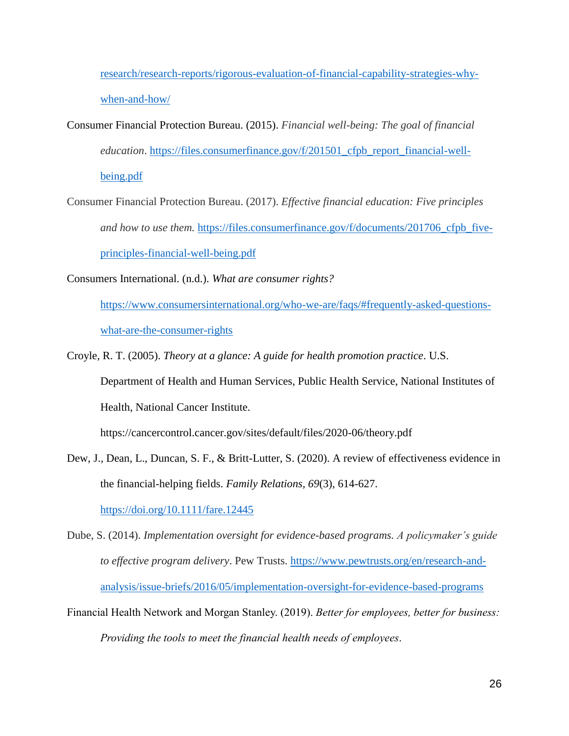[research/research-reports/rigorous-evaluation-of-financial-capability-strategies-why](https://www.consumerfinance.gov/data-research/research-reports/rigorous-evaluation-of-financial-capability-strategies-why-when-and-how/)[when-and-how/](https://www.consumerfinance.gov/data-research/research-reports/rigorous-evaluation-of-financial-capability-strategies-why-when-and-how/)

- Consumer Financial Protection Bureau. (2015). *Financial well-being: The goal of financial education*. [https://files.consumerfinance.gov/f/201501\\_cfpb\\_report\\_financial-well](https://files.consumerfinance.gov/f/201501_cfpb_report_financial-well-being.pdf)[being.pdf](https://files.consumerfinance.gov/f/201501_cfpb_report_financial-well-being.pdf)
- Consumer Financial Protection Bureau. (2017). *Effective financial education: Five principles and how to use them.* [https://files.consumerfinance.gov/f/documents/201706\\_cfpb\\_five](https://files.consumerfinance.gov/f/documents/201706_cfpb_five-principles-financial-well-being.pdf)[principles-financial-well-being.pdf](https://files.consumerfinance.gov/f/documents/201706_cfpb_five-principles-financial-well-being.pdf)

Consumers International. (n.d.). *What are consumer rights?*

[https://www.consumersinternational.org/who-we-are/faqs/#frequently-asked-questions](https://www.consumersinternational.org/who-we-are/faqs/#frequently-asked-questions-what-are-the-consumer-rights)[what-are-the-consumer-rights](https://www.consumersinternational.org/who-we-are/faqs/#frequently-asked-questions-what-are-the-consumer-rights)

Croyle, R. T. (2005). *Theory at a glance: A guide for health promotion practice*. U.S. Department of Health and Human Services, Public Health Service, National Institutes of Health, National Cancer Institute.

https://cancercontrol.cancer.gov/sites/default/files/2020-06/theory.pdf

Dew, J., Dean, L., Duncan, S. F., & Britt-Lutter, S. (2020). A review of effectiveness evidence in the financial-helping fields. *Family Relations, 69*(3), 614-627.

<https://doi.org/10.1111/fare.12445>

- Dube, S. (2014). *Implementation oversight for evidence-based programs. A policymaker's guide to effective program delivery*. Pew Trusts. [https://www.pewtrusts.org/en/research-and](https://www.pewtrusts.org/en/research-and-analysis/issue-briefs/2016/05/implementation-oversight-for-evidence-based-programs)[analysis/issue-briefs/2016/05/implementation-oversight-for-evidence-based-programs](https://www.pewtrusts.org/en/research-and-analysis/issue-briefs/2016/05/implementation-oversight-for-evidence-based-programs)
- Financial Health Network and Morgan Stanley. (2019). *Better for employees, better for business: Providing the tools to meet the financial health needs of employees*.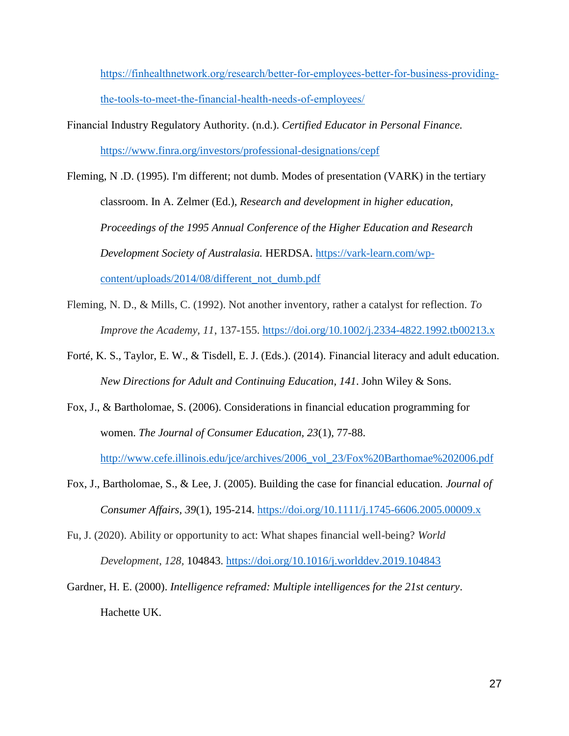[https://finhealthnetwork.org/research/better-for-employees-better-for-business-providing](https://finhealthnetwork.org/research/better-for-employees-better-for-business-providing-the-tools-to-meet-the-financial-health-needs-of-employees/)[the-tools-to-meet-the-financial-health-needs-of-employees/](https://finhealthnetwork.org/research/better-for-employees-better-for-business-providing-the-tools-to-meet-the-financial-health-needs-of-employees/)

Financial Industry Regulatory Authority. (n.d.). *Certified Educator in Personal Finance.*  <https://www.finra.org/investors/professional-designations/cepf>

Fleming, N .D. (1995). I'm different; not dumb. Modes of presentation (VARK) in the tertiary classroom. In A. Zelmer (Ed.), *Research and development in higher education, Proceedings of the 1995 Annual Conference of the Higher Education and Research Development Society of Australasia.* HERDSA. [https://vark-learn.com/wp](https://vark-learn.com/wp-content/uploads/2014/08/different_not_dumb.pdf)[content/uploads/2014/08/different\\_not\\_dumb.pdf](https://vark-learn.com/wp-content/uploads/2014/08/different_not_dumb.pdf)

- Fleming, N. D., & Mills, C. (1992). Not another inventory, rather a catalyst for reflection. *To Improve the Academy, 11*, 137-155.<https://doi.org/10.1002/j.2334-4822.1992.tb00213.x>
- Forté, K. S., Taylor, E. W., & Tisdell, E. J. (Eds.). (2014). Financial literacy and adult education. *New Directions for Adult and Continuing Education, 141*. John Wiley & Sons.
- Fox, J., & Bartholomae, S. (2006). Considerations in financial education programming for women. *The Journal of Consumer Education, 23*(1), 77-88. [http://www.cefe.illinois.edu/jce/archives/2006\\_vol\\_23/Fox%20Barthomae%202006.pdf](http://www.cefe.illinois.edu/jce/archives/2006_vol_23/Fox%20Barthomae%202006.pdf)

Fox, J., Bartholomae, S., & Lee, J. (2005). Building the case for financial education. *Journal of Consumer Affairs, 39*(1), 195-214.<https://doi.org/10.1111/j.1745-6606.2005.00009.x>

Fu, J. (2020). Ability or opportunity to act: What shapes financial well-being? *World Development*, *128,* 104843.<https://doi.org/10.1016/j.worlddev.2019.104843>

Gardner, H. E. (2000). *Intelligence reframed: Multiple intelligences for the 21st century*. Hachette UK.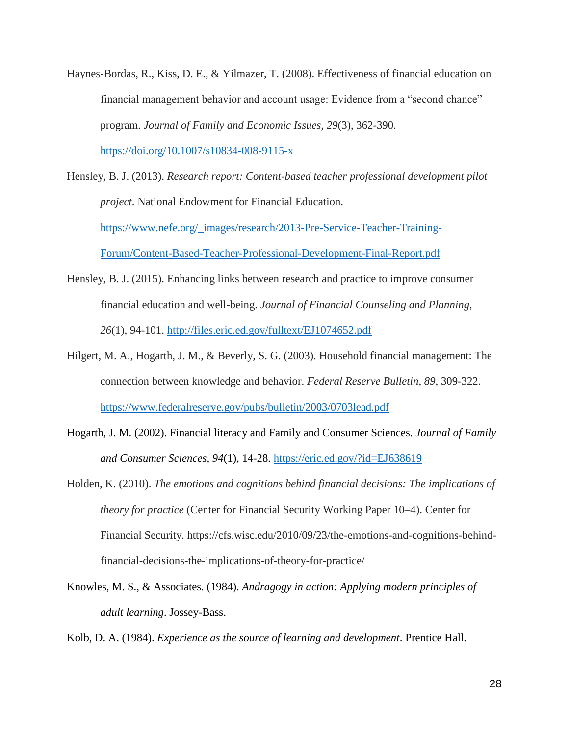Haynes-Bordas, R., Kiss, D. E., & Yilmazer, T. (2008). Effectiveness of financial education on financial management behavior and account usage: Evidence from a "second chance" program. *Journal of Family and Economic Issues, 29*(3), 362-390.

<https://doi.org/10.1007/s10834-008-9115-x>

- Hensley, B. J. (2013). *Research report: Content-based teacher professional development pilot project*. National Endowment for Financial Education. [https://www.nefe.org/\\_images/research/2013-Pre-Service-Teacher-Training-](https://www.nefe.org/_images/research/2013-Pre-Service-Teacher-Training-Forum/Content-Based-Teacher-Professional-Development-Final-Report.pdf)[Forum/Content-Based-Teacher-Professional-Development-Final-Report.pdf](https://www.nefe.org/_images/research/2013-Pre-Service-Teacher-Training-Forum/Content-Based-Teacher-Professional-Development-Final-Report.pdf)
- Hensley, B. J. (2015). Enhancing links between research and practice to improve consumer financial education and well-being. *Journal of Financial Counseling and Planning*, *26*(1), 94-101. <http://files.eric.ed.gov/fulltext/EJ1074652.pdf>
- Hilgert, M. A., Hogarth, J. M., & Beverly, S. G. (2003). Household financial management: The connection between knowledge and behavior. *Federal Reserve Bulletin*, *89*, 309-322. <https://www.federalreserve.gov/pubs/bulletin/2003/0703lead.pdf>
- Hogarth, J. M. (2002). Financial literacy and Family and Consumer Sciences. *Journal of Family and Consumer Sciences, 94*(1), 14-28.<https://eric.ed.gov/?id=EJ638619>
- Holden, K. (2010). *The emotions and cognitions behind financial decisions: The implications of theory for practice* (Center for Financial Security Working Paper 10–4). Center for Financial Security. https://cfs.wisc.edu/2010/09/23/the-emotions-and-cognitions-behindfinancial-decisions-the-implications-of-theory-for-practice/
- Knowles, M. S., & Associates. (1984). *Andragogy in action: Applying modern principles of adult learning*. Jossey-Bass.

Kolb, D. A. (1984). *Experience as the source of learning and development*. Prentice Hall.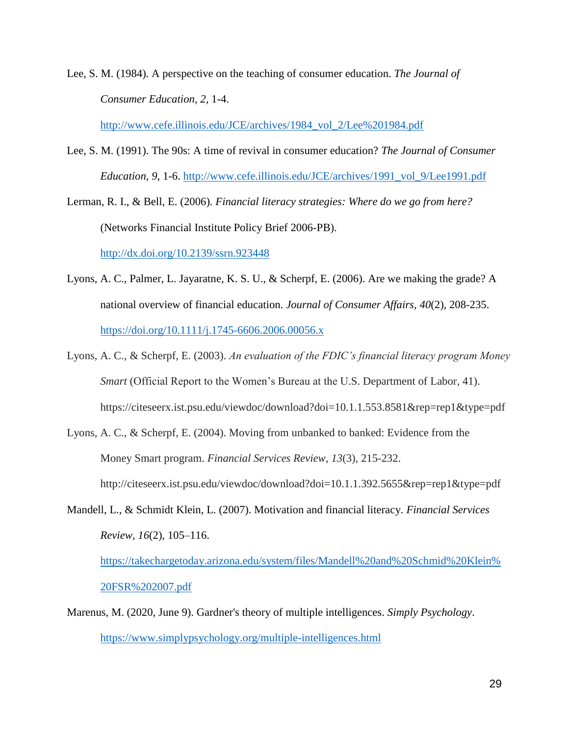Lee, S. M. (1984). A perspective on the teaching of consumer education. *The Journal of Consumer Education, 2,* 1-4.

[http://www.cefe.illinois.edu/JCE/archives/1984\\_vol\\_2/Lee%201984.pdf](http://www.cefe.illinois.edu/JCE/archives/1984_vol_2/Lee%201984.pdf)

Lee, S. M. (1991). The 90s: A time of revival in consumer education? *The Journal of Consumer Education, 9*, 1-6. [http://www.cefe.illinois.edu/JCE/archives/1991\\_vol\\_9/Lee1991.pdf](http://www.cefe.illinois.edu/JCE/archives/1991_vol_9/Lee1991.pdf)

Lerman, R. I., & Bell, E. (2006)*. Financial literacy strategies: Where do we go from here?* (Networks Financial Institute Policy Brief 2006-PB).

[http://dx.doi.org/10.2139/ssrn.923448](https://dx.doi.org/10.2139/ssrn.923448)

- Lyons, A. C., Palmer, L. Jayaratne, K. S. U., & Scherpf, E. (2006). Are we making the grade? A national overview of financial education. *Journal of Consumer Affairs, 40*(2), 208-235. <https://doi.org/10.1111/j.1745-6606.2006.00056.x>
- Lyons, A. C., & Scherpf, E. (2003). *An evaluation of the FDIC's financial literacy program Money Smart* (Official Report to the Women's Bureau at the U.S. Department of Labor, 41). https://citeseerx.ist.psu.edu/viewdoc/download?doi=10.1.1.553.8581&rep=rep1&type=pdf
- Lyons, A. C., & Scherpf, E. (2004). Moving from unbanked to banked: Evidence from the Money Smart program. *Financial Services Review*, *13*(3), 215-232. http://citeseerx.ist.psu.edu/viewdoc/download?doi=10.1.1.392.5655&rep=rep1&type=pdf
- Mandell, L., & Schmidt Klein, L. (2007). Motivation and financial literacy. *Financial Services Review, 16*(2), 105–116. [https://takechargetoday.arizona.edu/system/files/Mandell%20and%20Schmid%20Klein%](https://takechargetoday.arizona.edu/system/files/Mandell%20and%20Schmid%20Klein%20FSR%202007.pdf) [20FSR%202007.pdf](https://takechargetoday.arizona.edu/system/files/Mandell%20and%20Schmid%20Klein%20FSR%202007.pdf)
- Marenus, M. (2020, June 9). Gardner's theory of multiple intelligences. *Simply Psychology*. <https://www.simplypsychology.org/multiple-intelligences.html>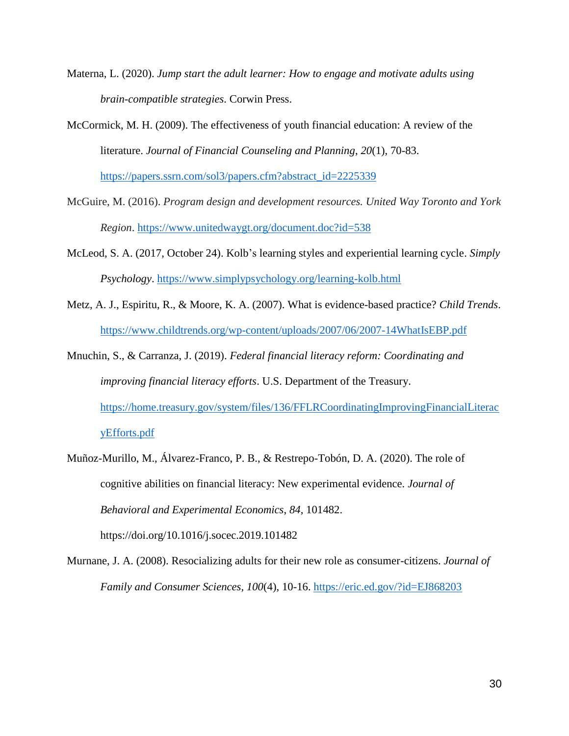- Materna, L. (2020). *Jump start the adult learner: How to engage and motivate adults using brain-compatible strategies*. Corwin Press.
- McCormick, M. H. (2009). The effectiveness of youth financial education: A review of the literature. *Journal of Financial Counseling and Planning*, *20*(1), 70-83.

[https://papers.ssrn.com/sol3/papers.cfm?abstract\\_id=2225339](https://papers.ssrn.com/sol3/papers.cfm?abstract_id=2225339)

- McGuire, M. (2016). *Program design and development resources. United Way Toronto and York Region*.<https://www.unitedwaygt.org/document.doc?id=538>
- McLeod, S. A. (2017, October 24). Kolb's learning styles and experiential learning cycle. *Simply Psychology*.<https://www.simplypsychology.org/learning-kolb.html>
- Metz, A. J., Espiritu, R., & Moore, K. A. (2007). What is evidence-based practice? *Child Trends*. <https://www.childtrends.org/wp-content/uploads/2007/06/2007-14WhatIsEBP.pdf>
- Mnuchin, S., & Carranza, J. (2019). *Federal financial literacy reform: Coordinating and improving financial literacy efforts*. U.S. Department of the Treasury. [https://home.treasury.gov/system/files/136/FFLRCoordinatingImprovingFinancialLiterac](https://home.treasury.gov/system/files/136/FFLRCoordinatingImprovingFinancialLiteracyEfforts.pdf) [yEfforts.pdf](https://home.treasury.gov/system/files/136/FFLRCoordinatingImprovingFinancialLiteracyEfforts.pdf)
- Muñoz-Murillo, M., Álvarez-Franco, P. B., & Restrepo-Tobón, D. A. (2020). The role of cognitive abilities on financial literacy: New experimental evidence. *Journal of Behavioral and Experimental Economics*, *84*, 101482. https://doi.org/10.1016/j.socec.2019.101482
- Murnane, J. A. (2008). Resocializing adults for their new role as consumer-citizens. *Journal of Family and Consumer Sciences, 100*(4), 10-16. <https://eric.ed.gov/?id=EJ868203>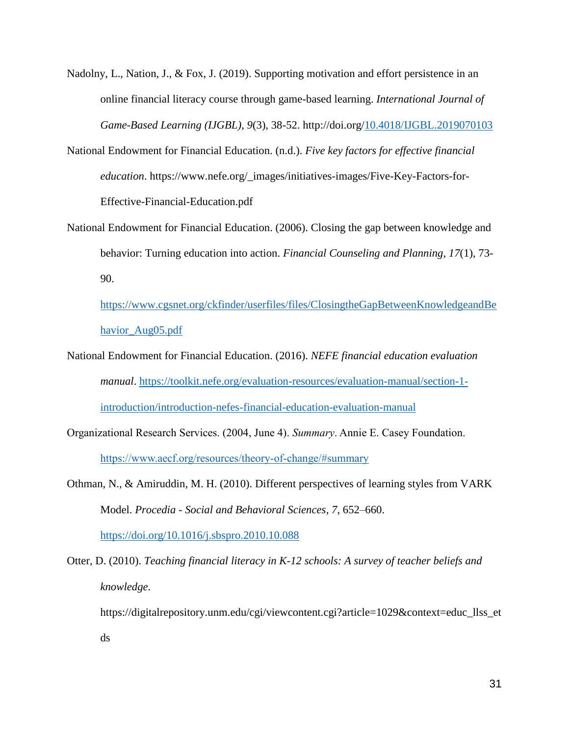- Nadolny, L., Nation, J., & Fox, J. (2019). Supporting motivation and effort persistence in an online financial literacy course through game-based learning. *International Journal of Game-Based Learning (IJGBL)*, *9*(3), 38-52. http://doi.org[/10.4018/IJGBL.2019070103](https://doi.org/10.4018/IJGBL.2019070103)
- National Endowment for Financial Education. (n.d.). *Five key factors for effective financial education*. https://www.nefe.org/\_images/initiatives-images/Five-Key-Factors-for-Effective-Financial-Education.pdf
- National Endowment for Financial Education. (2006). Closing the gap between knowledge and behavior: Turning education into action. *Financial Counseling and Planning*, *17*(1), 73- 90.

[https://www.cgsnet.org/ckfinder/userfiles/files/ClosingtheGapBetweenKnowledgeandBe](https://www.cgsnet.org/ckfinder/userfiles/files/ClosingtheGapBetweenKnowledgeandBehavior_Aug05.pdf) [havior\\_Aug05.pdf](https://www.cgsnet.org/ckfinder/userfiles/files/ClosingtheGapBetweenKnowledgeandBehavior_Aug05.pdf)

- National Endowment for Financial Education. (2016). *NEFE financial education evaluation manual*. [https://toolkit.nefe.org/evaluation-resources/evaluation-manual/section-1](https://toolkit.nefe.org/evaluation-resources/evaluation-manual/section-1-introduction/introduction-nefes-financial-education-evaluation-manual) [introduction/introduction-nefes-financial-education-evaluation-manual](https://toolkit.nefe.org/evaluation-resources/evaluation-manual/section-1-introduction/introduction-nefes-financial-education-evaluation-manual)
- Organizational Research Services. (2004, June 4). *Summary*. Annie E. Casey Foundation. <https://www.aecf.org/resources/theory-of-change/#summary>
- Othman, N., & Amiruddin, M. H. (2010). Different perspectives of learning styles from VARK Model. *Procedia - Social and Behavioral Sciences, 7*, 652–660. <https://doi.org/10.1016/j.sbspro.2010.10.088>
- Otter, D. (2010). *Teaching financial literacy in K-12 schools: A survey of teacher beliefs and knowledge*.

https://digitalrepository.unm.edu/cgi/viewcontent.cgi?article=1029&context=educ\_llss\_et ds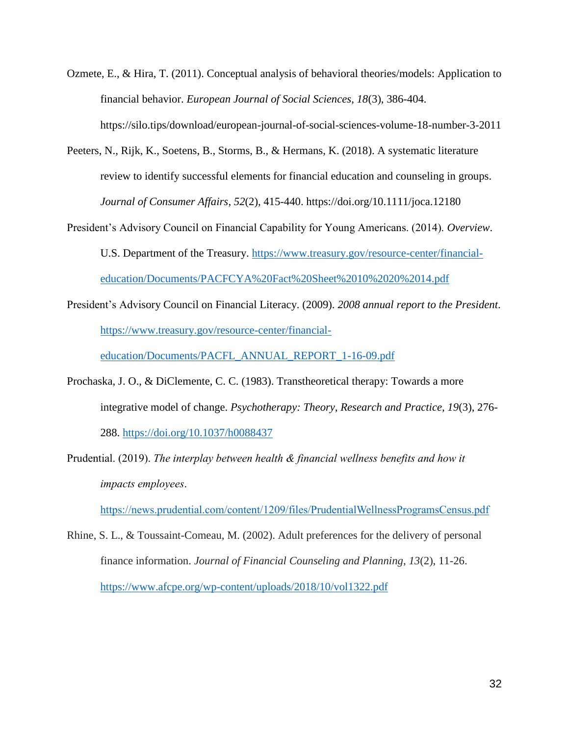- Ozmete, E., & Hira, T. (2011). Conceptual analysis of behavioral theories/models: Application to financial behavior. *European Journal of Social Sciences*, *18*(3), 386-404. https://silo.tips/download/european-journal-of-social-sciences-volume-18-number-3-2011
- Peeters, N., Rijk, K., Soetens, B., Storms, B., & Hermans, K. (2018). A systematic literature review to identify successful elements for financial education and counseling in groups. *Journal of Consumer Affairs*, *52*(2), 415-440. https://doi.org/10.1111/joca.12180
- President's Advisory Council on Financial Capability for Young Americans. (2014). *Overview*. U.S. Department of the Treasury. [https://www.treasury.gov/resource-center/financial](https://www.treasury.gov/resource-center/financial-education/Documents/PACFCYA%20Fact%20Sheet%2010%2020%2014.pdf)[education/Documents/PACFCYA%20Fact%20Sheet%2010%2020%2014.pdf](https://www.treasury.gov/resource-center/financial-education/Documents/PACFCYA%20Fact%20Sheet%2010%2020%2014.pdf)
- President's Advisory Council on Financial Literacy. (2009). *2008 annual report to the President*. [https://www.treasury.gov/resource-center/financial-](https://www.treasury.gov/resource-center/financial-education/Documents/PACFL_ANNUAL_REPORT_1-16-09.pdf)

[education/Documents/PACFL\\_ANNUAL\\_REPORT\\_1-16-09.pdf](https://www.treasury.gov/resource-center/financial-education/Documents/PACFL_ANNUAL_REPORT_1-16-09.pdf)

- Prochaska, J. O., & DiClemente, C. C. (1983). Transtheoretical therapy: Towards a more integrative model of change. *Psychotherapy: Theory, Research and Practice, 19*(3), 276- 288. [https://doi.org/10.1037/h0088437](https://psycnet.apa.org/doi/10.1037/h0088437)
- Prudential. (2019). *The interplay between health & financial wellness benefits and how it impacts employees*.

<https://news.prudential.com/content/1209/files/PrudentialWellnessProgramsCensus.pdf>

Rhine, S. L., & Toussaint-Comeau, M. (2002). Adult preferences for the delivery of personal finance information. *Journal of Financial Counseling and Planning*, *13*(2), 11-26. <https://www.afcpe.org/wp-content/uploads/2018/10/vol1322.pdf>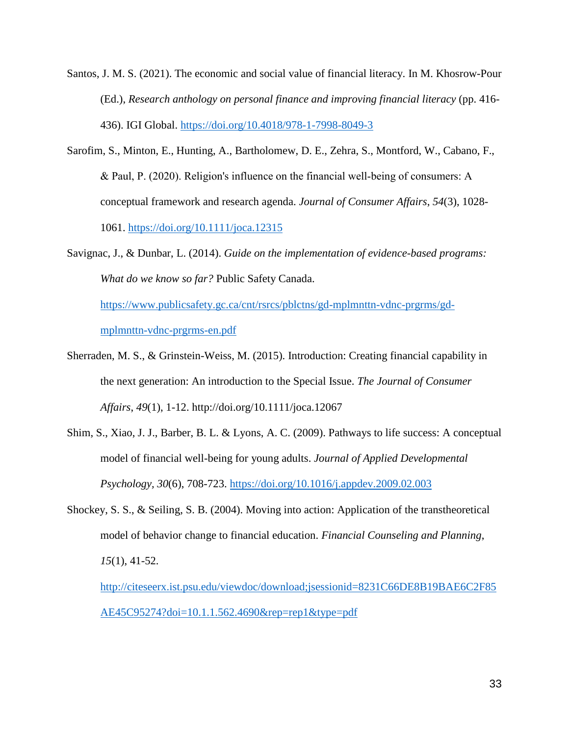- Santos, J. M. S. (2021). The economic and social value of financial literacy. In M. Khosrow-Pour (Ed.), *Research anthology on personal finance and improving financial literacy* (pp. 416- 436). IGI Global.<https://doi.org/10.4018/978-1-7998-8049-3>
- Sarofim, S., Minton, E., Hunting, A., Bartholomew, D. E., Zehra, S., Montford, W., Cabano, F., & Paul, P. (2020). Religion's influence on the financial well‐being of consumers: A conceptual framework and research agenda. *Journal of Consumer Affairs*, *54*(3), 1028- 1061.<https://doi.org/10.1111/joca.12315>
- Savignac, J., & Dunbar, L. (2014). *Guide on the implementation of evidence-based programs: What do we know so far?* Public Safety Canada.

[https://www.publicsafety.gc.ca/cnt/rsrcs/pblctns/gd-mplmnttn-vdnc-prgrms/gd](https://www.publicsafety.gc.ca/cnt/rsrcs/pblctns/gd-mplmnttn-vdnc-prgrms/gd-mplmnttn-vdnc-prgrms-en.pdf)[mplmnttn-vdnc-prgrms-en.pdf](https://www.publicsafety.gc.ca/cnt/rsrcs/pblctns/gd-mplmnttn-vdnc-prgrms/gd-mplmnttn-vdnc-prgrms-en.pdf)

- Sherraden, M. S., & Grinstein-Weiss, M. (2015). Introduction: Creating financial capability in the next generation: An introduction to the Special Issue. *The Journal of Consumer Affairs*, *49*(1), 1-12. http://doi.org/10.1111/joca.12067
- Shim, S., Xiao, J. J., Barber, B. L. & Lyons, A. C. (2009). Pathways to life success: A conceptual model of financial well-being for young adults. *Journal of Applied Developmental Psychology, 30*(6), 708-723. [https://doi.org/10.1016/j.appdev.2009.02.003](https://doi-org.er.lib.k-state.edu/10.1016/j.appdev.2009.02.003)
- Shockey, S. S., & Seiling, S. B. (2004). Moving into action: Application of the transtheoretical model of behavior change to financial education. *Financial Counseling and Planning*, *15*(1), 41-52.

[http://citeseerx.ist.psu.edu/viewdoc/download;jsessionid=8231C66DE8B19BAE6C2F85](http://citeseerx.ist.psu.edu/viewdoc/download;jsessionid=8231C66DE8B19BAE6C2F85AE45C95274?doi=10.1.1.562.4690&rep=rep1&type=pdf) [AE45C95274?doi=10.1.1.562.4690&rep=rep1&type=pdf](http://citeseerx.ist.psu.edu/viewdoc/download;jsessionid=8231C66DE8B19BAE6C2F85AE45C95274?doi=10.1.1.562.4690&rep=rep1&type=pdf)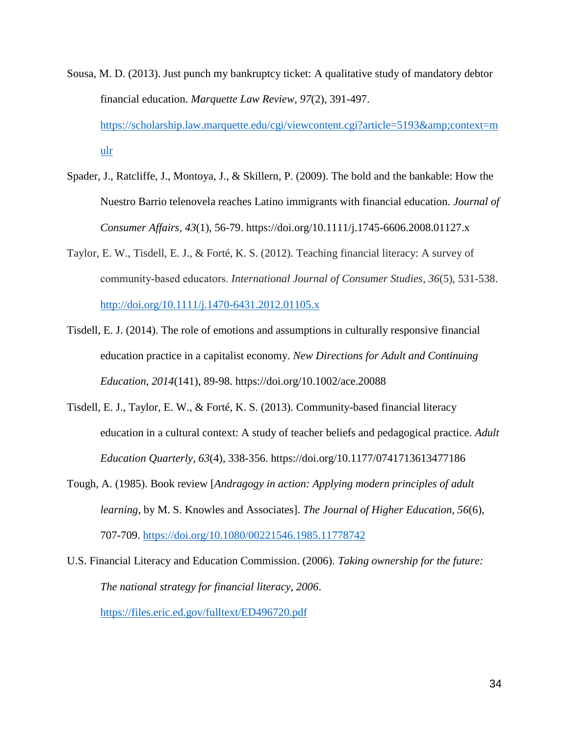- Sousa, M. D. (2013). Just punch my bankruptcy ticket: A qualitative study of mandatory debtor financial education. *Marquette Law Review*, *97*(2), 391-497. [https://scholarship.law.marquette.edu/cgi/viewcontent.cgi?article=5193&context=m](https://scholarship.law.marquette.edu/cgi/viewcontent.cgi?article=5193&context=mulr) [ulr](https://scholarship.law.marquette.edu/cgi/viewcontent.cgi?article=5193&context=mulr)
- Spader, J., Ratcliffe, J., Montoya, J., & Skillern, P. (2009). The bold and the bankable: How the Nuestro Barrio telenovela reaches Latino immigrants with financial education. *Journal of Consumer Affairs*, *43*(1), 56-79. https://doi.org/10.1111/j.1745-6606.2008.01127.x
- Taylor, E. W., Tisdell, E. J., & Forté, K. S. (2012). Teaching financial literacy: A survey of community‐based educators. *International Journal of Consumer Studies*, *36*(5), 531-538. <http://doi.org/10.1111/j.1470-6431.2012.01105.x>
- Tisdell, E. J. (2014). The role of emotions and assumptions in culturally responsive financial education practice in a capitalist economy. *New Directions for Adult and Continuing Education*, *2014*(141), 89-98. https://doi.org/10.1002/ace.20088
- Tisdell, E. J., Taylor, E. W., & Forté, K. S. (2013). Community-based financial literacy education in a cultural context: A study of teacher beliefs and pedagogical practice. *Adult Education Quarterly*, *63*(4), 338-356. https://doi.org/10.1177/0741713613477186
- Tough, A. (1985). Book review [*Andragogy in action: Applying modern principles of adult learning*, by M. S. Knowles and Associates]. *The Journal of Higher Education, 56*(6), 707-709.<https://doi.org/10.1080/00221546.1985.11778742>

U.S. Financial Literacy and Education Commission. (2006). *Taking ownership for the future: The national strategy for financial literacy, 2006*. <https://files.eric.ed.gov/fulltext/ED496720.pdf>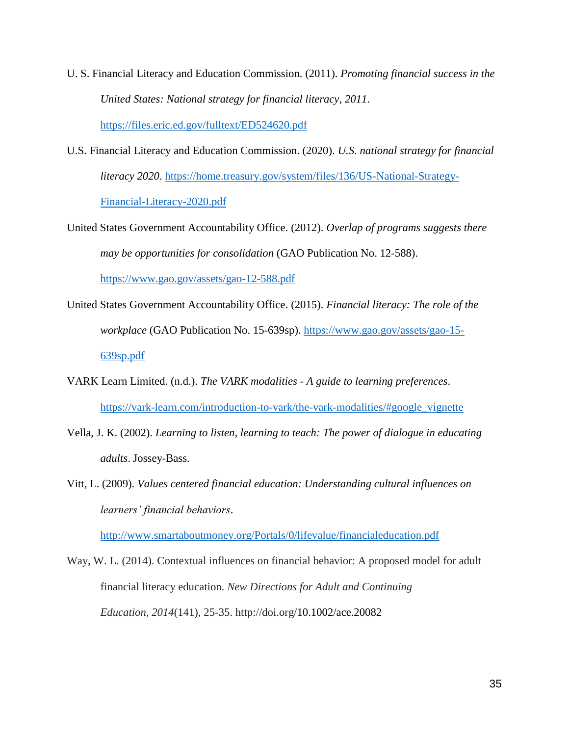- U. S. Financial Literacy and Education Commission. (2011). *Promoting financial success in the United States: National strategy for financial literacy, 2011*. <https://files.eric.ed.gov/fulltext/ED524620.pdf>
- U.S. Financial Literacy and Education Commission. (2020). *U.S. national strategy for financial literacy 2020*. [https://home.treasury.gov/system/files/136/US-National-Strategy-](https://home.treasury.gov/system/files/136/US-National-Strategy-Financial-Literacy-2020.pdf)[Financial-Literacy-2020.pdf](https://home.treasury.gov/system/files/136/US-National-Strategy-Financial-Literacy-2020.pdf)
- United States Government Accountability Office. (2012). *Overlap of programs suggests there may be opportunities for consolidation* (GAO Publication No. 12-588). <https://www.gao.gov/assets/gao-12-588.pdf>
- United States Government Accountability Office. (2015). *Financial literacy: The role of the workplace* (GAO Publication No. 15-639sp). [https://www.gao.gov/assets/gao-15-](https://www.gao.gov/assets/gao-15-639sp.pdf) [639sp.pdf](https://www.gao.gov/assets/gao-15-639sp.pdf)
- VARK Learn Limited. (n.d.). *The VARK modalities - A guide to learning preferences*. [https://vark-learn.com/introduction-to-vark/the-vark-modalities/#google\\_vignette](https://vark-learn.com/introduction-to-vark/the-vark-modalities/#google_vignette)
- Vella, J. K. (2002). *Learning to listen, learning to teach: The power of dialogue in educating adults*. Jossey-Bass.
- Vitt, L. (2009). *Values centered financial education: Understanding cultural influences on learners' financial behaviors*.

<http://www.smartaboutmoney.org/Portals/0/lifevalue/financialeducation.pdf>

Way, W. L. (2014). Contextual influences on financial behavior: A proposed model for adult financial literacy education. *New Directions for Adult and Continuing Education*, *2014*(141), 25-35. http://doi.org/10.1002/ace.20082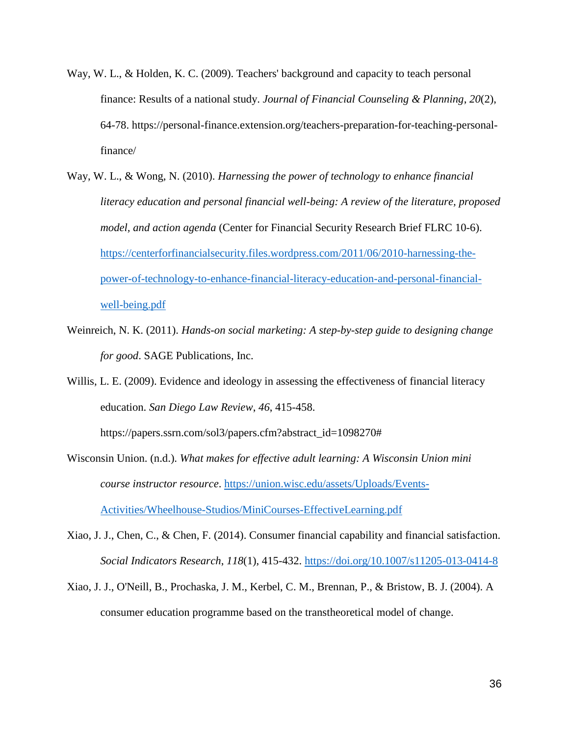- Way, W. L., & Holden, K. C. (2009). Teachers' background and capacity to teach personal finance: Results of a national study. *Journal of Financial Counseling & Planning*, *20*(2), 64-78. https://personal-finance.extension.org/teachers-preparation-for-teaching-personalfinance/
- Way, W. L., & Wong, N. (2010). *Harnessing the power of technology to enhance financial literacy education and personal financial well-being: A review of the literature, proposed model, and action agenda* (Center for Financial Security Research Brief FLRC 10-6). [https://centerforfinancialsecurity.files.wordpress.com/2011/06/2010-harnessing-the](https://centerforfinancialsecurity.files.wordpress.com/2011/06/2010-harnessing-the-power-of-technology-to-enhance-financial-literacy-education-and-personal-financial-well-being.pdf)[power-of-technology-to-enhance-financial-literacy-education-and-personal-financial](https://centerforfinancialsecurity.files.wordpress.com/2011/06/2010-harnessing-the-power-of-technology-to-enhance-financial-literacy-education-and-personal-financial-well-being.pdf)[well-being.pdf](https://centerforfinancialsecurity.files.wordpress.com/2011/06/2010-harnessing-the-power-of-technology-to-enhance-financial-literacy-education-and-personal-financial-well-being.pdf)
- Weinreich, N. K. (2011). *Hands-on social marketing: A step-by-step guide to designing change for good*. SAGE Publications, Inc.

Willis, L. E. (2009). Evidence and ideology in assessing the effectiveness of financial literacy education. *San Diego Law Review*, *46*, 415-458.

https://papers.ssrn.com/sol3/papers.cfm?abstract\_id=1098270#

- Wisconsin Union. (n.d.). *What makes for effective adult learning: A Wisconsin Union mini course instructor resource*. [https://union.wisc.edu/assets/Uploads/Events-](https://union.wisc.edu/assets/Uploads/Events-Activities/Wheelhouse-Studios/MiniCourses-EffectiveLearning.pdf)[Activities/Wheelhouse-Studios/MiniCourses-EffectiveLearning.pdf](https://union.wisc.edu/assets/Uploads/Events-Activities/Wheelhouse-Studios/MiniCourses-EffectiveLearning.pdf)
- Xiao, J. J., Chen, C., & Chen, F. (2014). Consumer financial capability and financial satisfaction. *Social Indicators Research*, *118*(1), 415-432.<https://doi.org/10.1007/s11205-013-0414-8>
- Xiao, J. J., O'Neill, B., Prochaska, J. M., Kerbel, C. M., Brennan, P., & Bristow, B. J. (2004). A consumer education programme based on the transtheoretical model of change.